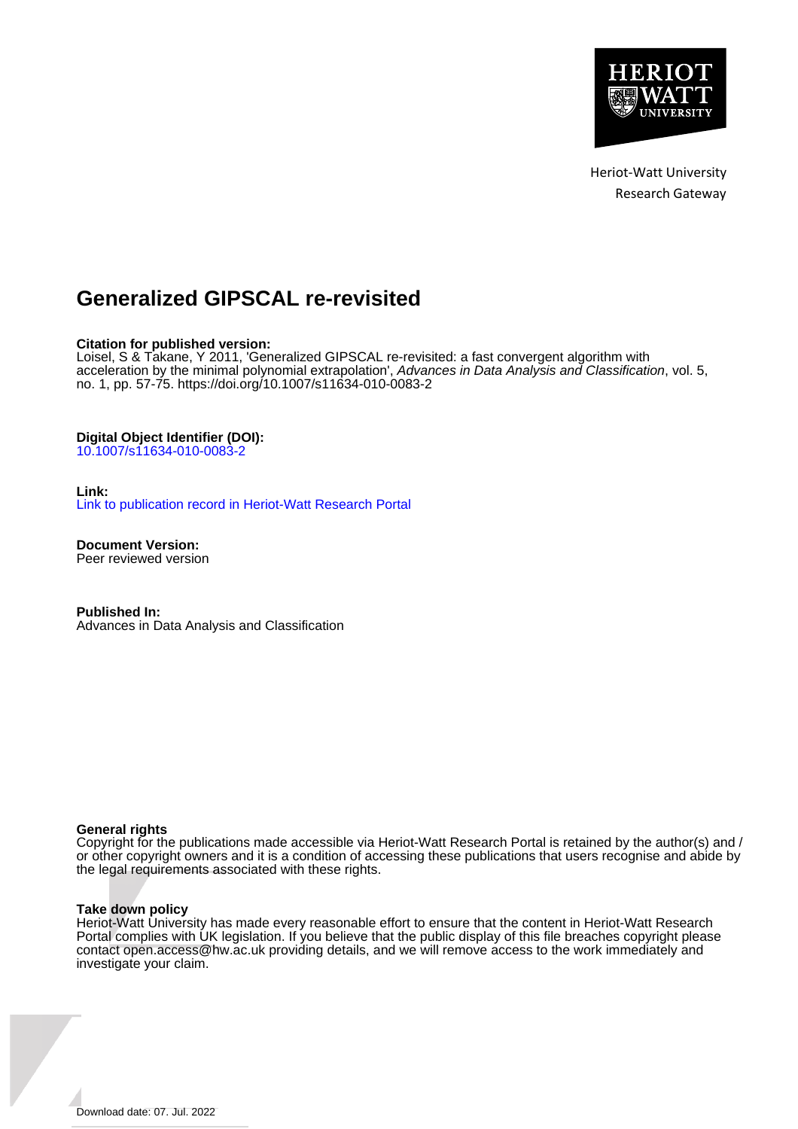

Heriot-Watt University Research Gateway

# **Generalized GIPSCAL re-revisited**

# **Citation for published version:**

Loisel, S & Takane, Y 2011, 'Generalized GIPSCAL re-revisited: a fast convergent algorithm with acceleration by the minimal polynomial extrapolation', Advances in Data Analysis and Classification, vol. 5, no. 1, pp. 57-75. <https://doi.org/10.1007/s11634-010-0083-2>

# **Digital Object Identifier (DOI):**

[10.1007/s11634-010-0083-2](https://doi.org/10.1007/s11634-010-0083-2)

# **Link:**

[Link to publication record in Heriot-Watt Research Portal](https://researchportal.hw.ac.uk/en/publications/dac2d5f7-7810-4217-a89d-dce13c6a398a)

**Document Version:** Peer reviewed version

**Published In:** Advances in Data Analysis and Classification

# **General rights**

Copyright for the publications made accessible via Heriot-Watt Research Portal is retained by the author(s) and / or other copyright owners and it is a condition of accessing these publications that users recognise and abide by the legal requirements associated with these rights.

# **Take down policy**

Heriot-Watt University has made every reasonable effort to ensure that the content in Heriot-Watt Research Portal complies with UK legislation. If you believe that the public display of this file breaches copyright please contact open.access@hw.ac.uk providing details, and we will remove access to the work immediately and investigate your claim.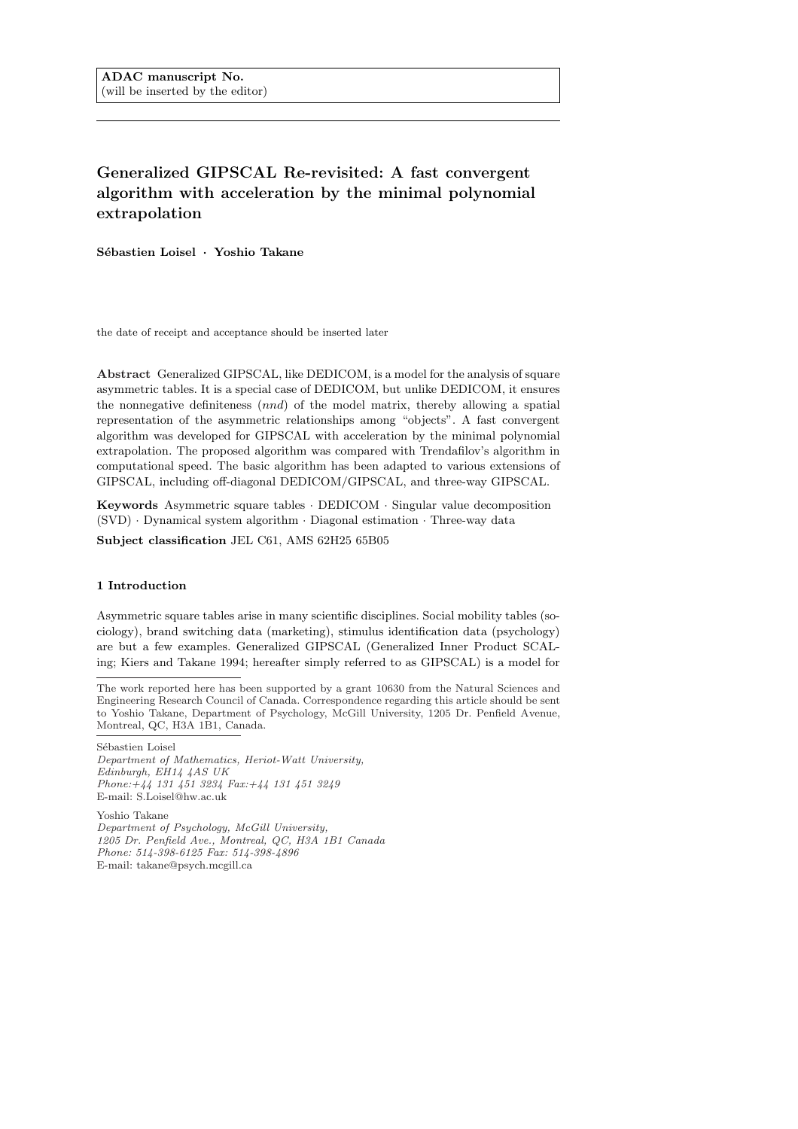# Generalized GIPSCAL Re-revisited: A fast convergent algorithm with acceleration by the minimal polynomial extrapolation

Sébastien Loisel · Yoshio Takane

the date of receipt and acceptance should be inserted later

Abstract Generalized GIPSCAL, like DEDICOM, is a model for the analysis of square asymmetric tables. It is a special case of DEDICOM, but unlike DEDICOM, it ensures the nonnegative definiteness (nnd) of the model matrix, thereby allowing a spatial representation of the asymmetric relationships among "objects". A fast convergent algorithm was developed for GIPSCAL with acceleration by the minimal polynomial extrapolation. The proposed algorithm was compared with Trendafilov's algorithm in computational speed. The basic algorithm has been adapted to various extensions of GIPSCAL, including off-diagonal DEDICOM/GIPSCAL, and three-way GIPSCAL.

Keywords Asymmetric square tables · DEDICOM · Singular value decomposition (SVD) · Dynamical system algorithm · Diagonal estimation · Three-way data Subject classification JEL C61, AMS 62H25 65B05

# 1 Introduction

Asymmetric square tables arise in many scientific disciplines. Social mobility tables (sociology), brand switching data (marketing), stimulus identification data (psychology) are but a few examples. Generalized GIPSCAL (Generalized Inner Product SCALing; Kiers and Takane 1994; hereafter simply referred to as GIPSCAL) is a model for

The work reported here has been supported by a grant 10630 from the Natural Sciences and Engineering Research Council of Canada. Correspondence regarding this article should be sent to Yoshio Takane, Department of Psychology, McGill University, 1205 Dr. Penfield Avenue, Montreal, QC, H3A 1B1, Canada.

Sébastien Loisel Department of Mathematics, Heriot-Watt University, Edinburgh, EH14 4AS UK Phone:+44 131 451 3234 Fax:+44 131 451 3249 E-mail: S.Loisel@hw.ac.uk

Yoshio Takane Department of Psychology, McGill University, 1205 Dr. Penfield Ave., Montreal, QC, H3A 1B1 Canada Phone: 514-398-6125 Fax: 514-398-4896 E-mail: takane@psych.mcgill.ca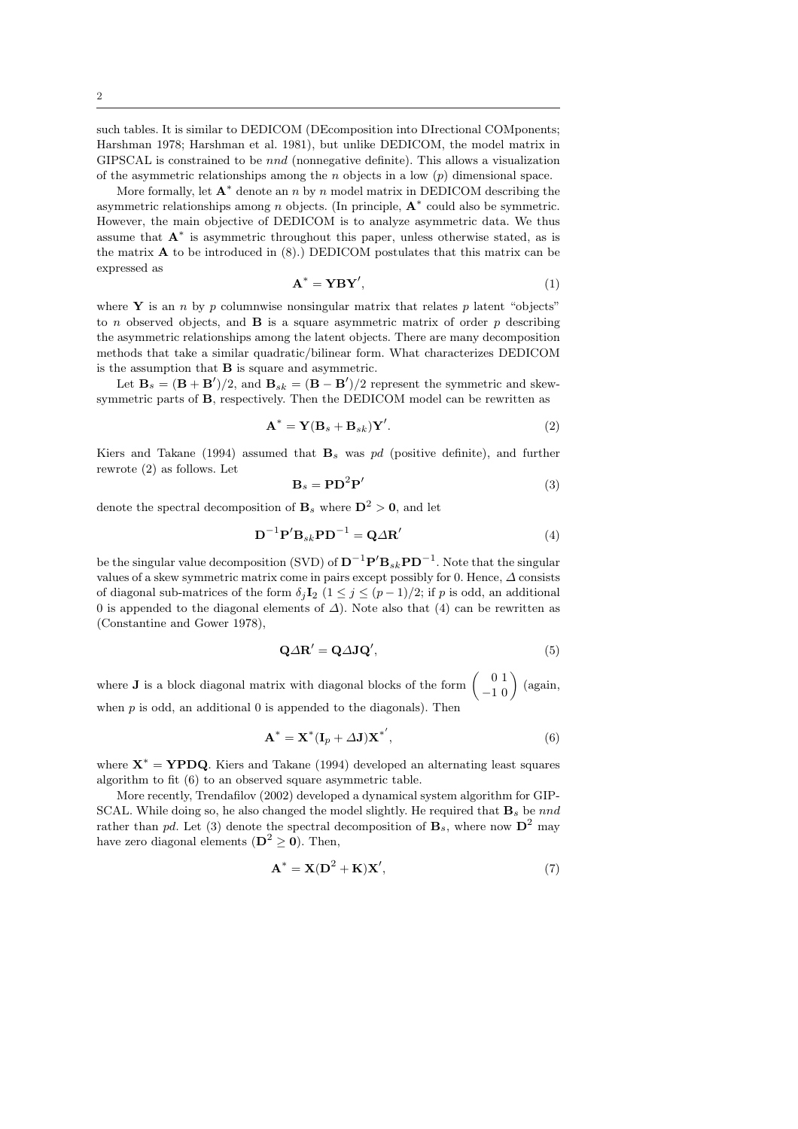such tables. It is similar to DEDICOM (DEcomposition into DIrectional COMponents; Harshman 1978; Harshman et al. 1981), but unlike DEDICOM, the model matrix in GIPSCAL is constrained to be nnd (nonnegative definite). This allows a visualization of the asymmetric relationships among the  $n$  objects in a low  $(p)$  dimensional space.

More formally, let  $A^*$  denote an n by n model matrix in DEDICOM describing the asymmetric relationships among n objects. (In principle,  $A^*$  could also be symmetric. However, the main objective of DEDICOM is to analyze asymmetric data. We thus assume that  $A^*$  is asymmetric throughout this paper, unless otherwise stated, as is the matrix  $\bf{A}$  to be introduced in  $(8)$ .) DEDICOM postulates that this matrix can be expressed as

$$
\mathbf{A}^* = \mathbf{Y} \mathbf{B} \mathbf{Y}',\tag{1}
$$

where Y is an n by p columnwise nonsingular matrix that relates p latent "objects" to *n* observed objects, and **B** is a square asymmetric matrix of order  $p$  describing the asymmetric relationships among the latent objects. There are many decomposition methods that take a similar quadratic/bilinear form. What characterizes DEDICOM is the assumption that  $\bf{B}$  is square and asymmetric.

Let  $\mathbf{B}_s = (\mathbf{B} + \mathbf{B}')/2$ , and  $\mathbf{B}_{sk} = (\mathbf{B} - \mathbf{B}')/2$  represent the symmetric and skewsymmetric parts of B, respectively. Then the DEDICOM model can be rewritten as

$$
\mathbf{A}^* = \mathbf{Y}(\mathbf{B}_s + \mathbf{B}_{sk})\mathbf{Y}'.
$$
 (2)

Kiers and Takane (1994) assumed that  $B_s$  was pd (positive definite), and further rewrote (2) as follows. Let

$$
\mathbf{B}_s = \mathbf{P} \mathbf{D}^2 \mathbf{P}' \tag{3}
$$

denote the spectral decomposition of  $B_s$  where  $D^2 > 0$ , and let

$$
\mathbf{D}^{-1}\mathbf{P}'\mathbf{B}_{sk}\mathbf{P}\mathbf{D}^{-1} = \mathbf{Q}\Delta\mathbf{R}'\tag{4}
$$

be the singular value decomposition (SVD) of  $D^{-1}P'B_{sk}PD^{-1}$ . Note that the singular values of a skew symmetric matrix come in pairs except possibly for 0. Hence,  $\Delta$  consists of diagonal sub-matrices of the form  $\delta_j \mathbf{I}_2$  ( $1 \leq j \leq (p-1)/2$ ; if p is odd, an additional 0 is appended to the diagonal elements of  $\Delta$ ). Note also that (4) can be rewritten as (Constantine and Gower 1978),

$$
Q\Delta R' = Q\Delta JQ',\tag{5}
$$

where **J** is a block diagonal matrix with diagonal blocks of the form  $\begin{pmatrix} 0 & 1 \\ -1 & 0 \end{pmatrix}$  (again, when  $p$  is odd, an additional 0 is appended to the diagonals). Then

$$
\mathbf{A}^* = \mathbf{X}^*(\mathbf{I}_p + \Delta \mathbf{J})\mathbf{X}^{*'},\tag{6}
$$

where  $X^* = YPDQ$ . Kiers and Takane (1994) developed an alternating least squares algorithm to fit (6) to an observed square asymmetric table.

More recently, Trendafilov (2002) developed a dynamical system algorithm for GIP-SCAL. While doing so, he also changed the model slightly. He required that  $B_s$  be  $nnd$ rather than pd. Let (3) denote the spectral decomposition of  $\mathbf{B}_s$ , where now  $\mathbf{D}^2$  may have zero diagonal elements ( $\mathbf{D}^2 \geq 0$ ). Then,

$$
\mathbf{A}^* = \mathbf{X}(\mathbf{D}^2 + \mathbf{K})\mathbf{X}',\tag{7}
$$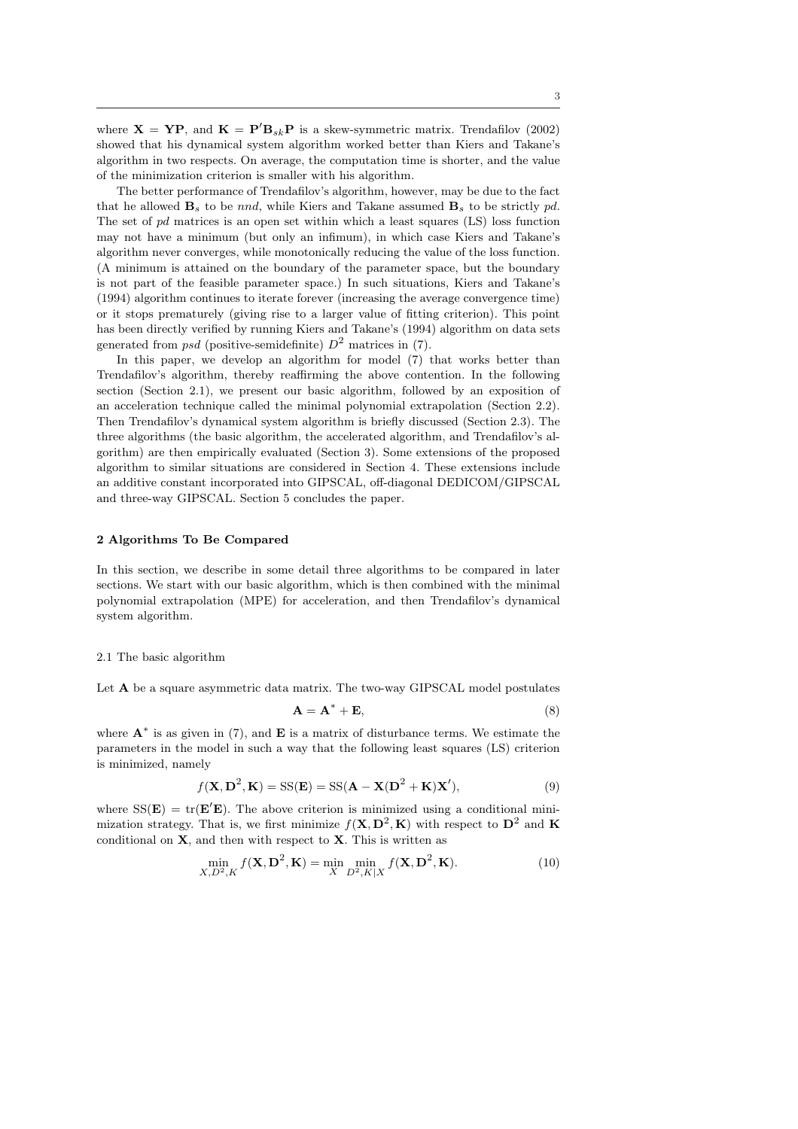where  $\mathbf{X} = \mathbf{Y} \mathbf{P}$ , and  $\mathbf{K} = \mathbf{P}' \mathbf{B}_{sk} \mathbf{P}$  is a skew-symmetric matrix. Trendafilov (2002) showed that his dynamical system algorithm worked better than Kiers and Takane's algorithm in two respects. On average, the computation time is shorter, and the value of the minimization criterion is smaller with his algorithm.

The better performance of Trendafilov's algorithm, however, may be due to the fact that he allowed  $\mathbf{B}_s$  to be nnd, while Kiers and Takane assumed  $\mathbf{B}_s$  to be strictly pd. The set of pd matrices is an open set within which a least squares (LS) loss function may not have a minimum (but only an infimum), in which case Kiers and Takane's algorithm never converges, while monotonically reducing the value of the loss function. (A minimum is attained on the boundary of the parameter space, but the boundary is not part of the feasible parameter space.) In such situations, Kiers and Takane's (1994) algorithm continues to iterate forever (increasing the average convergence time) or it stops prematurely (giving rise to a larger value of fitting criterion). This point has been directly verified by running Kiers and Takane's (1994) algorithm on data sets generated from psd (positive-semidefinite)  $D^2$  matrices in (7).

In this paper, we develop an algorithm for model (7) that works better than Trendafilov's algorithm, thereby reaffirming the above contention. In the following section (Section 2.1), we present our basic algorithm, followed by an exposition of an acceleration technique called the minimal polynomial extrapolation (Section 2.2). Then Trendafilov's dynamical system algorithm is briefly discussed (Section 2.3). The three algorithms (the basic algorithm, the accelerated algorithm, and Trendafilov's algorithm) are then empirically evaluated (Section 3). Some extensions of the proposed algorithm to similar situations are considered in Section 4. These extensions include an additive constant incorporated into GIPSCAL, off-diagonal DEDICOM/GIPSCAL and three-way GIPSCAL. Section 5 concludes the paper.

#### 2 Algorithms To Be Compared

In this section, we describe in some detail three algorithms to be compared in later sections. We start with our basic algorithm, which is then combined with the minimal polynomial extrapolation (MPE) for acceleration, and then Trendafilov's dynamical system algorithm.

#### 2.1 The basic algorithm

Let A be a square asymmetric data matrix. The two-way GIPSCAL model postulates

$$
\mathbf{A} = \mathbf{A}^* + \mathbf{E},\tag{8}
$$

where  $A^*$  is as given in (7), and  $E$  is a matrix of disturbance terms. We estimate the parameters in the model in such a way that the following least squares (LS) criterion is minimized, namely

$$
f(\mathbf{X}, \mathbf{D}^2, \mathbf{K}) = SS(\mathbf{E}) = SS(\mathbf{A} - \mathbf{X}(\mathbf{D}^2 + \mathbf{K})\mathbf{X}'),
$$
\n(9)

where  $SS(E) = \text{tr}(E'E)$ . The above criterion is minimized using a conditional minimization strategy. That is, we first minimize  $f(\mathbf{X}, \mathbf{D}^2, \mathbf{K})$  with respect to  $\mathbf{D}^2$  and  $\mathbf{K}$ conditional on  $X$ , and then with respect to  $X$ . This is written as

$$
\min_{X,D^2,K} f(\mathbf{X},\mathbf{D}^2,\mathbf{K}) = \min_{X} \min_{D^2,K|X} f(\mathbf{X},\mathbf{D}^2,\mathbf{K}).
$$
\n(10)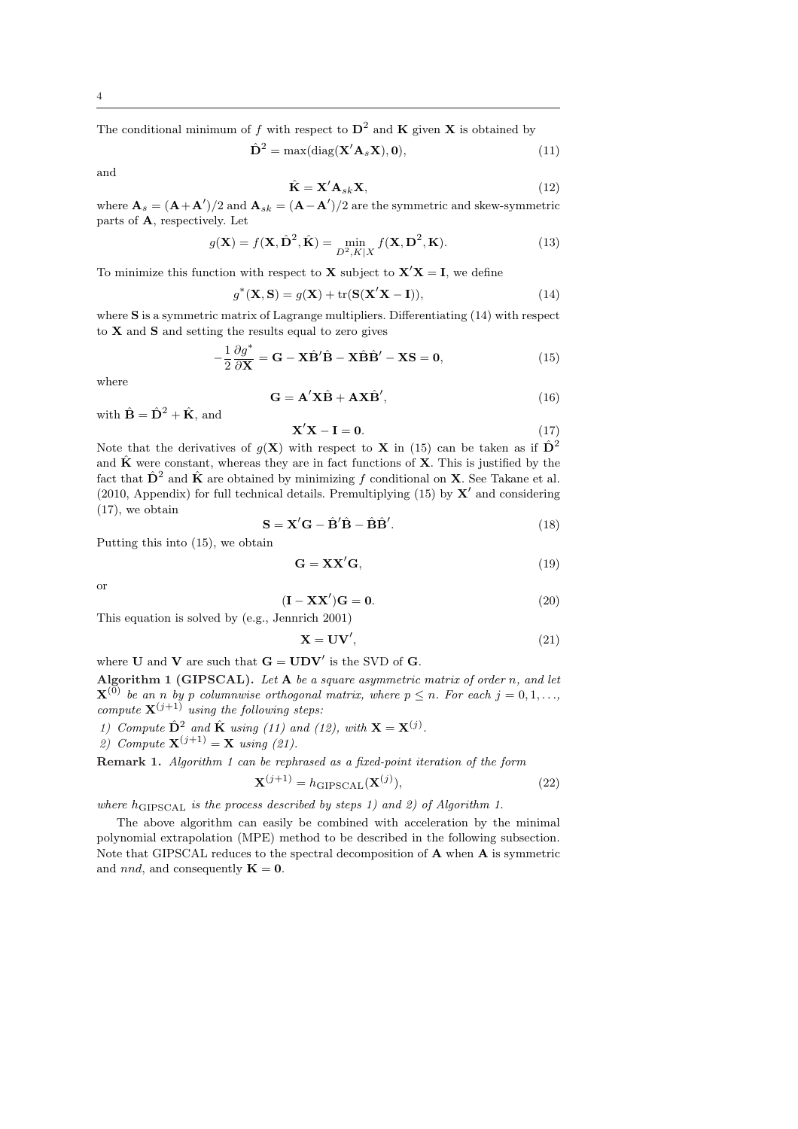The conditional minimum of f with respect to  $\mathbf{D}^2$  and **K** given **X** is obtained by

$$
\hat{\mathbf{D}}^2 = \max(\text{diag}(\mathbf{X}'\mathbf{A}_s\mathbf{X}), \mathbf{0}),\tag{11}
$$

and

$$
\hat{\mathbf{K}} = \mathbf{X}' \mathbf{A}_{sk} \mathbf{X},\tag{12}
$$

where  $\mathbf{A}_s = (\mathbf{A} + \mathbf{A}')/2$  and  $\mathbf{A}_{sk} = (\mathbf{A} - \mathbf{A}')/2$  are the symmetric and skew-symmetric parts of A, respectively. Let

$$
g(\mathbf{X}) = f(\mathbf{X}, \hat{\mathbf{D}}^2, \hat{\mathbf{K}}) = \min_{D^2, K | X} f(\mathbf{X}, \mathbf{D}^2, \mathbf{K}).
$$
\n(13)

To minimize this function with respect to **X** subject to  $X'X = I$ , we define

$$
g^*(\mathbf{X}, \mathbf{S}) = g(\mathbf{X}) + \text{tr}(\mathbf{S}(\mathbf{X}'\mathbf{X} - \mathbf{I})),
$$
\n(14)

where S is a symmetric matrix of Lagrange multipliers. Differentiating (14) with respect to  $X$  and  $S$  and setting the results equal to zero gives

$$
-\frac{1}{2}\frac{\partial g^*}{\partial \mathbf{X}} = \mathbf{G} - \mathbf{X}\hat{\mathbf{B}}'\hat{\mathbf{B}} - \mathbf{X}\hat{\mathbf{B}}\hat{\mathbf{B}}' - \mathbf{X}\mathbf{S} = \mathbf{0},\tag{15}
$$

where

$$
\mathbf{G} = \mathbf{A}' \mathbf{X} \hat{\mathbf{B}} + \mathbf{A} \mathbf{X} \hat{\mathbf{B}}',\tag{16}
$$

with  $\hat{\mathbf{B}} = \hat{\mathbf{D}}^2 + \hat{\mathbf{K}}$ , and

$$
\mathbf{X}'\mathbf{X} - \mathbf{I} = \mathbf{0}.\tag{17}
$$

Note that the derivatives of  $g(X)$  with respect to X in (15) can be taken as if  $\hat{D}^2$ and  $\hat{\mathbf{K}}$  were constant, whereas they are in fact functions of **X**. This is justified by the fact that  $\hat{D}^2$  and  $\hat{K}$  are obtained by minimizing f conditional on **X**. See Takane et al. (2010, Appendix) for full technical details. Premultiplying (15) by  $X'$  and considering (17), we obtain

$$
\mathbf{S} = \mathbf{X}'\mathbf{G} - \hat{\mathbf{B}}'\hat{\mathbf{B}} - \hat{\mathbf{B}}\hat{\mathbf{B}}'.\tag{18}
$$

Putting this into (15), we obtain

$$
\mathbf{G} = \mathbf{X} \mathbf{X}' \mathbf{G},\tag{19}
$$

or

$$
(\mathbf{I} - \mathbf{X}\mathbf{X}')\mathbf{G} = \mathbf{0}.\tag{20}
$$

This equation is solved by (e.g., Jennrich 2001)

$$
\mathbf{X} = \mathbf{U}\mathbf{V}',\tag{21}
$$

where **U** and **V** are such that  $G = UDV'$  is the SVD of G.

Algorithm 1 (GIPSCAL). Let A be a square asymmetric matrix of order n, and let  $\mathbf{X}^{(0)}$  be an n by p columnwise orthogonal matrix, where  $p \leq n$ . For each  $j = 0, 1, \ldots$ , compute  $X^{(j+1)}$  using the following steps:

- 1) Compute  $\hat{\mathbf{D}}^2$  and  $\hat{\mathbf{K}}$  using (11) and (12), with  $\mathbf{X} = \mathbf{X}^{(j)}$ .
- 2) Compute  $\mathbf{X}^{(j+1)} = \mathbf{X}$  using (21).

Remark 1. Algorithm 1 can be rephrased as a fixed-point iteration of the form

$$
\mathbf{X}^{(j+1)} = h_{\text{GIPSCAL}}(\mathbf{X}^{(j)}),\tag{22}
$$

where  $h_{\text{GIPSCAL}}$  is the process described by steps 1) and 2) of Algorithm 1.

The above algorithm can easily be combined with acceleration by the minimal polynomial extrapolation (MPE) method to be described in the following subsection. Note that GIPSCAL reduces to the spectral decomposition of A when A is symmetric and *nnd*, and consequently  $\mathbf{K} = \mathbf{0}$ .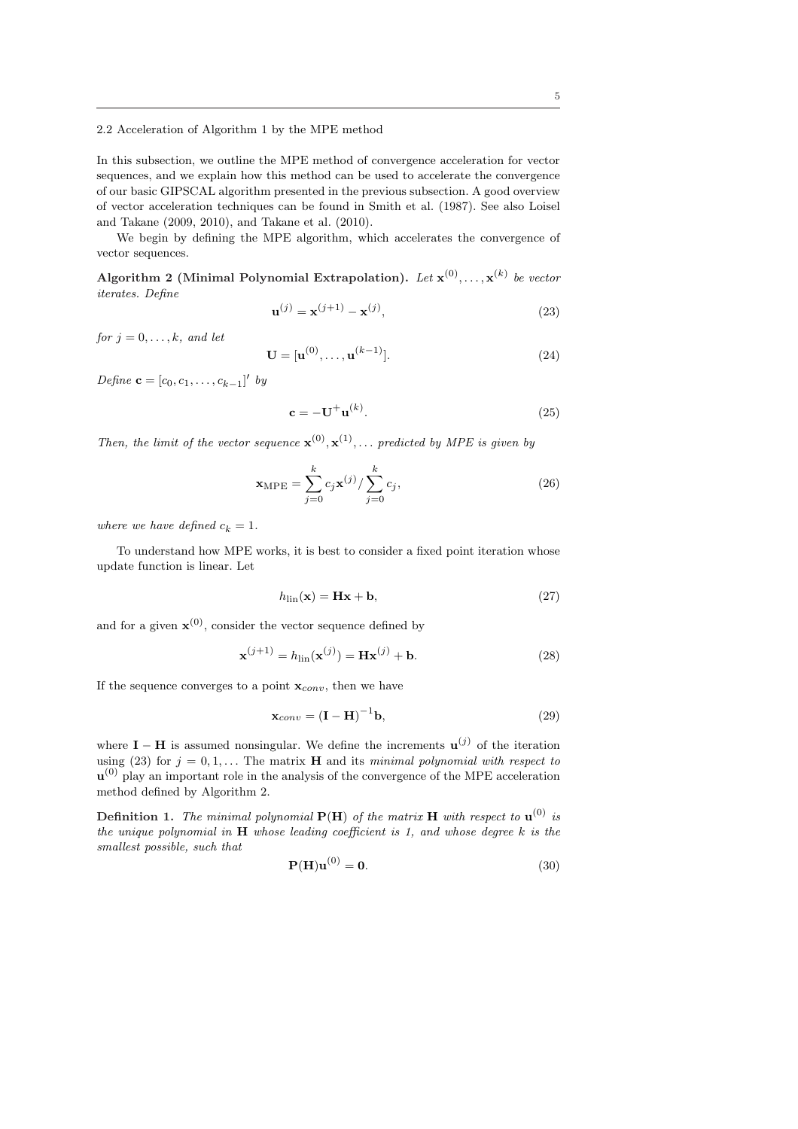# 2.2 Acceleration of Algorithm 1 by the MPE method

In this subsection, we outline the MPE method of convergence acceleration for vector sequences, and we explain how this method can be used to accelerate the convergence of our basic GIPSCAL algorithm presented in the previous subsection. A good overview of vector acceleration techniques can be found in Smith et al. (1987). See also Loisel and Takane (2009, 2010), and Takane et al. (2010).

We begin by defining the MPE algorithm, which accelerates the convergence of vector sequences.

Algorithm 2 (Minimal Polynomial Extrapolation). Let  $\mathbf{x}^{(0)}, \ldots, \mathbf{x}^{(k)}$  be vector iterates. Define

$$
\mathbf{u}^{(j)} = \mathbf{x}^{(j+1)} - \mathbf{x}^{(j)},\tag{23}
$$

for  $j = 0, \ldots, k$ , and let

$$
\mathbf{U} = [\mathbf{u}^{(0)}, \dots, \mathbf{u}^{(k-1)}].
$$
 (24)

Define **c** = [ $c_0, c_1, ..., c_{k-1}$ ]' by

$$
\mathbf{c} = -\mathbf{U}^+ \mathbf{u}^{(k)}.\tag{25}
$$

Then, the limit of the vector sequence  $\mathbf{x}^{(0)}, \mathbf{x}^{(1)}, \dots$  predicted by MPE is given by

$$
\mathbf{x}_{\text{MPE}} = \sum_{j=0}^{k} c_j \mathbf{x}^{(j)} / \sum_{j=0}^{k} c_j,
$$
 (26)

where we have defined  $c_k = 1$ .

To understand how MPE works, it is best to consider a fixed point iteration whose update function is linear. Let

$$
h_{\rm lin}(\mathbf{x}) = \mathbf{H}\mathbf{x} + \mathbf{b},\tag{27}
$$

and for a given  $\mathbf{x}^{(0)}$ , consider the vector sequence defined by

$$
\mathbf{x}^{(j+1)} = h_{\text{lin}}(\mathbf{x}^{(j)}) = \mathbf{H}\mathbf{x}^{(j)} + \mathbf{b}.\tag{28}
$$

If the sequence converges to a point  $\mathbf{x}_{conv}$ , then we have

$$
\mathbf{x}_{conv} = (\mathbf{I} - \mathbf{H})^{-1} \mathbf{b},\tag{29}
$$

where  $\mathbf{I} - \mathbf{H}$  is assumed nonsingular. We define the increments  $\mathbf{u}^{(j)}$  of the iteration using (23) for  $j = 0, 1, \ldots$  The matrix **H** and its minimal polynomial with respect to  $\mathbf{u}^{(0)}$  play an important role in the analysis of the convergence of the MPE acceleration method defined by Algorithm 2.

**Definition 1.** The minimal polynomial  $P(H)$  of the matrix H with respect to  $\mathbf{u}^{(0)}$  is the unique polynomial in  $H$  whose leading coefficient is 1, and whose degree k is the smallest possible, such that

$$
\mathbf{P}(\mathbf{H})\mathbf{u}^{(0)} = \mathbf{0}.\tag{30}
$$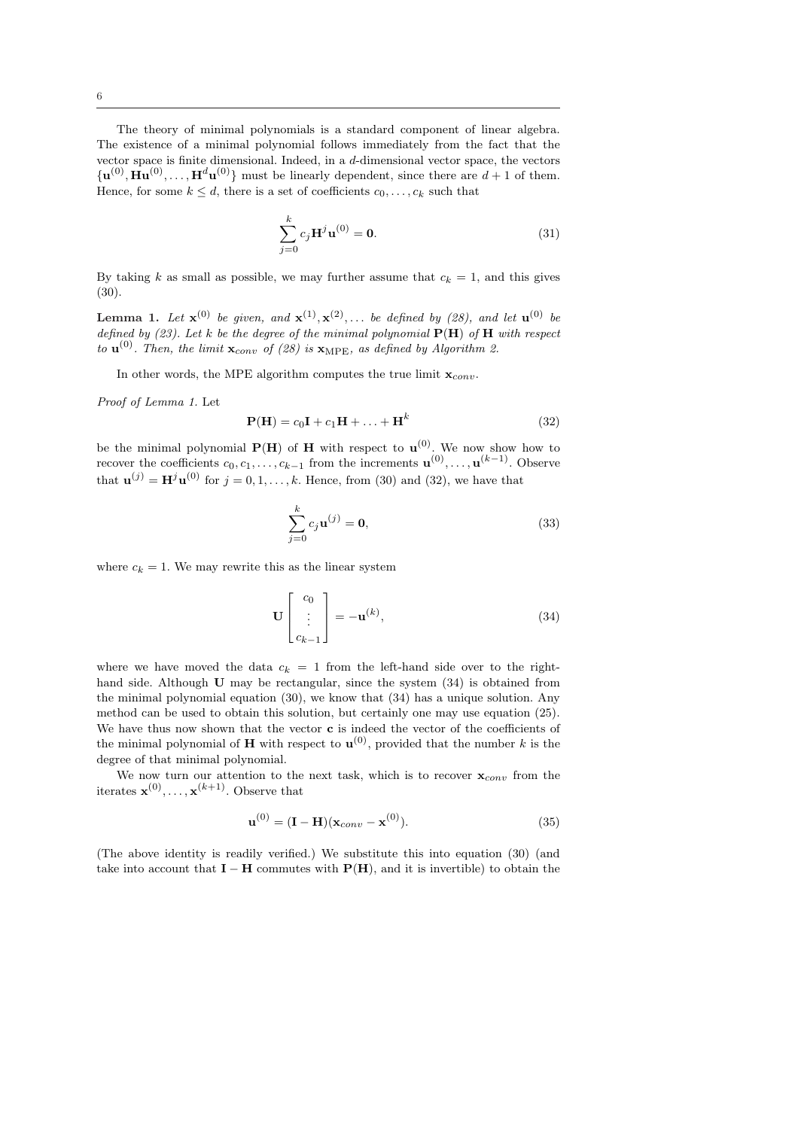The theory of minimal polynomials is a standard component of linear algebra. The existence of a minimal polynomial follows immediately from the fact that the vector space is finite dimensional. Indeed, in a d-dimensional vector space, the vectors  ${\bf u}^{(0)}, {\bf Hu}^{(0)}, \ldots, {\bf H}^{d}{\bf u}^{(0)}$  must be linearly dependent, since there are  $d+1$  of them. Hence, for some  $k \leq d$ , there is a set of coefficients  $c_0, \ldots, c_k$  such that

$$
\sum_{j=0}^{k} c_j \mathbf{H}^j \mathbf{u}^{(0)} = \mathbf{0}.
$$
 (31)

By taking k as small as possible, we may further assume that  $c_k = 1$ , and this gives (30).

**Lemma 1.** Let  $\mathbf{x}^{(0)}$  be given, and  $\mathbf{x}^{(1)}, \mathbf{x}^{(2)}, \ldots$  be defined by (28), and let  $\mathbf{u}^{(0)}$  be defined by (23). Let k be the degree of the minimal polynomial  $P(H)$  of H with respect to  $\mathbf{u}^{(0)}$ . Then, the limit  $\mathbf{x}_{conv}$  of (28) is  $\mathbf{x}_{MPE}$ , as defined by Algorithm 2.

In other words, the MPE algorithm computes the true limit  $\mathbf{x}_{conv}$ .

Proof of Lemma 1. Let

$$
\mathbf{P}(\mathbf{H}) = c_0 \mathbf{I} + c_1 \mathbf{H} + \dots + \mathbf{H}^k \tag{32}
$$

be the minimal polynomial  $P(H)$  of H with respect to  $\mathbf{u}^{(0)}$ . We now show how to recover the coefficients  $c_0, c_1, \ldots, c_{k-1}$  from the increments  $\mathbf{u}^{(0)}, \ldots, \mathbf{u}^{(k-1)}$ . Observe that  $\mathbf{u}^{(j)} = \mathbf{H}^{j} \mathbf{u}^{(0)}$  for  $j = 0, 1, \ldots, k$ . Hence, from (30) and (32), we have that

$$
\sum_{j=0}^{k} c_j \mathbf{u}^{(j)} = \mathbf{0},\tag{33}
$$

where  $c_k = 1$ . We may rewrite this as the linear system

$$
\mathbf{U}\begin{bmatrix}c_0\\ \vdots\\ c_{k-1}\end{bmatrix} = -\mathbf{u}^{(k)},\tag{34}
$$

where we have moved the data  $c_k = 1$  from the left-hand side over to the righthand side. Although U may be rectangular, since the system (34) is obtained from the minimal polynomial equation (30), we know that (34) has a unique solution. Any method can be used to obtain this solution, but certainly one may use equation (25). We have thus now shown that the vector  $\mathbf c$  is indeed the vector of the coefficients of the minimal polynomial of **H** with respect to  $\mathbf{u}^{(0)}$ , provided that the number k is the degree of that minimal polynomial.

We now turn our attention to the next task, which is to recover  $\mathbf{x}_{conv}$  from the iterates  $\mathbf{x}^{(0)}, \ldots, \mathbf{x}^{(k+1)}$ . Observe that

$$
\mathbf{u}^{(0)} = (\mathbf{I} - \mathbf{H})(\mathbf{x}_{conv} - \mathbf{x}^{(0)}).
$$
 (35)

(The above identity is readily verified.) We substitute this into equation (30) (and take into account that  $\mathbf{I} - \mathbf{H}$  commutes with  $P(\mathbf{H})$ , and it is invertible) to obtain the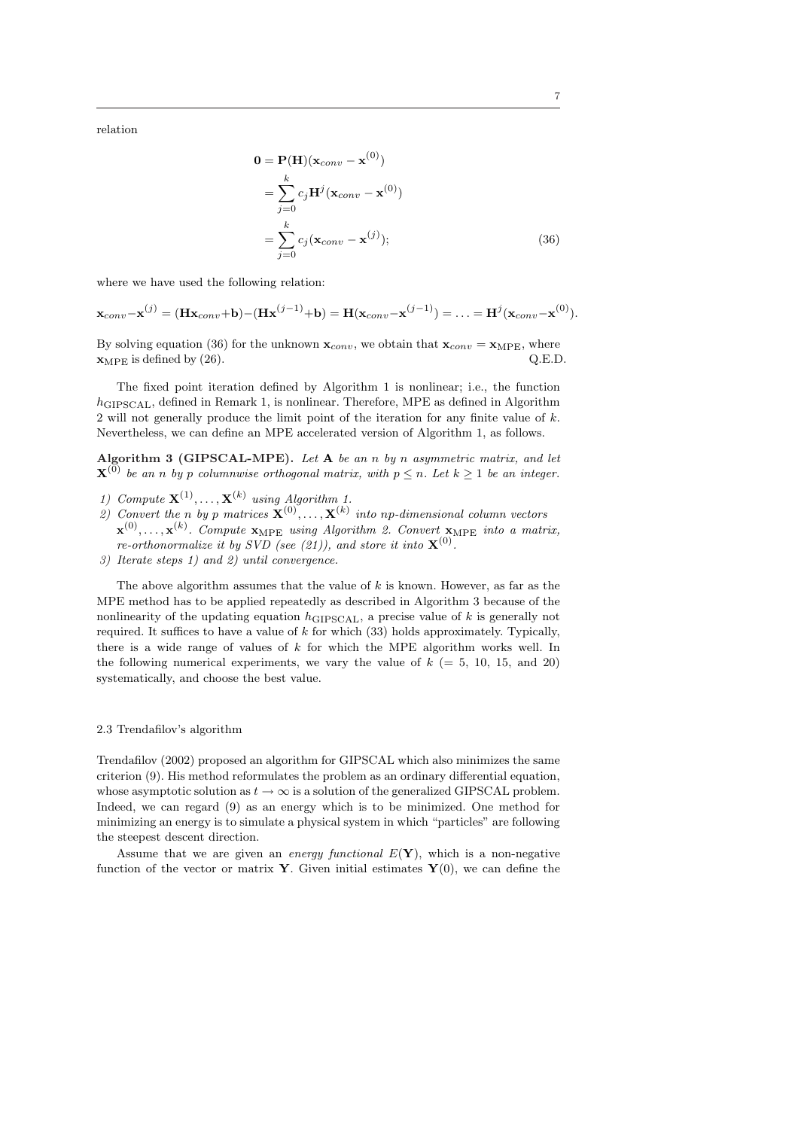relation

$$
\mathbf{0} = \mathbf{P}(\mathbf{H})(\mathbf{x}_{conv} - \mathbf{x}^{(0)})
$$
  
= 
$$
\sum_{j=0}^{k} c_j \mathbf{H}^j (\mathbf{x}_{conv} - \mathbf{x}^{(0)})
$$
  
= 
$$
\sum_{j=0}^{k} c_j (\mathbf{x}_{conv} - \mathbf{x}^{(j)});
$$
 (36)

where we have used the following relation:

 $\mathbf{x}_{conv} - \mathbf{x}^{(j)} = (\mathbf{H}\mathbf{x}_{conv} + \mathbf{b}) - (\mathbf{H}\mathbf{x}^{(j-1)} + \mathbf{b}) = \mathbf{H}(\mathbf{x}_{conv} - \mathbf{x}^{(j-1)}) = \ldots = \mathbf{H}^j(\mathbf{x}_{conv} - \mathbf{x}^{(0)}).$ 

By solving equation (36) for the unknown  $\mathbf{x}_{conv}$ , we obtain that  $\mathbf{x}_{conv} = \mathbf{x}_{MPE}$ , where  $\mathbf{x}_{\text{MPE}}$  is defined by (26).  $Q.E.D.$ 

The fixed point iteration defined by Algorithm 1 is nonlinear; i.e., the function  $h_{\text{GIPSCAL}}$ , defined in Remark 1, is nonlinear. Therefore, MPE as defined in Algorithm 2 will not generally produce the limit point of the iteration for any finite value of  $k$ . Nevertheless, we can define an MPE accelerated version of Algorithm 1, as follows.

Algorithm 3 (GIPSCAL-MPE). Let A be an n by n asymmetric matrix, and let  $\mathbf{X}^{(0)}$  be an n by p columnwise orthogonal matrix, with  $p \leq n$ . Let  $k \geq 1$  be an integer.

- 1) Compute  $\mathbf{X}^{(1)}, \ldots, \mathbf{X}^{(k)}$  using Algorithm 1.
- 2) Convert the n by p matrices  $\mathbf{X}^{(0)}, \ldots, \mathbf{X}^{(k)}$  into np-dimensional column vectors  $\mathbf{x}^{(0)}, \ldots, \mathbf{x}^{(k)}$ . Compute  $\mathbf{x}_{\text{MPE}}$  using Algorithm 2. Convert  $\mathbf{x}_{\text{MPE}}$  into a matrix, re-orthonormalize it by SVD (see (21)), and store it into  $\mathbf{X}^{(0)}$ .
- 3) Iterate steps 1) and 2) until convergence.

The above algorithm assumes that the value of  $k$  is known. However, as far as the MPE method has to be applied repeatedly as described in Algorithm 3 because of the nonlinearity of the updating equation  $h_{\text{GIPSCAL}}$ , a precise value of k is generally not required. It suffices to have a value of  $k$  for which (33) holds approximately. Typically, there is a wide range of values of k for which the MPE algorithm works well. In the following numerical experiments, we vary the value of  $k$  (= 5, 10, 15, and 20) systematically, and choose the best value.

## 2.3 Trendafilov's algorithm

Trendafilov (2002) proposed an algorithm for GIPSCAL which also minimizes the same criterion (9). His method reformulates the problem as an ordinary differential equation, whose asymptotic solution as  $t \to \infty$  is a solution of the generalized GIPSCAL problem. Indeed, we can regard (9) as an energy which is to be minimized. One method for minimizing an energy is to simulate a physical system in which "particles" are following the steepest descent direction.

Assume that we are given an *energy functional*  $E(Y)$ , which is a non-negative function of the vector or matrix Y. Given initial estimates  $Y(0)$ , we can define the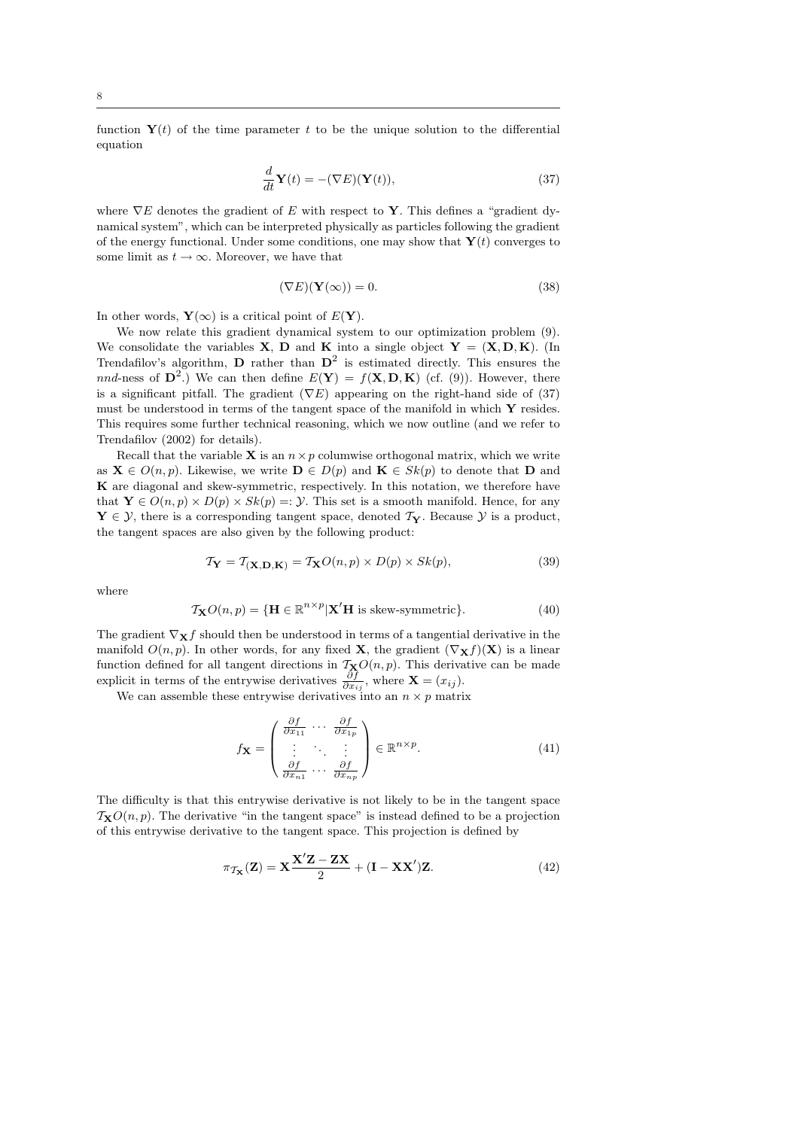function  $\mathbf{Y}(t)$  of the time parameter t to be the unique solution to the differential equation

$$
\frac{d}{dt}\mathbf{Y}(t) = -(\nabla E)(\mathbf{Y}(t)),\tag{37}
$$

where  $\nabla E$  denotes the gradient of E with respect to **Y**. This defines a "gradient dynamical system", which can be interpreted physically as particles following the gradient of the energy functional. Under some conditions, one may show that  $\mathbf{Y}(t)$  converges to some limit as  $t \to \infty$ . Moreover, we have that

$$
(\nabla E)(\mathbf{Y}(\infty)) = 0.
$$
\n(38)

In other words,  $\mathbf{Y}(\infty)$  is a critical point of  $E(\mathbf{Y})$ .

We now relate this gradient dynamical system to our optimization problem (9). We consolidate the variables **X**, **D** and **K** into a single object  $Y = (X, D, K)$ . (In Trendafilov's algorithm, **D** rather than  $D^2$  is estimated directly. This ensures the nnd-ness of  $D^2$ .) We can then define  $E(Y) = f(X, D, K)$  (cf. (9)). However, there is a significant pitfall. The gradient  $(\nabla E)$  appearing on the right-hand side of (37) must be understood in terms of the tangent space of the manifold in which Y resides. This requires some further technical reasoning, which we now outline (and we refer to Trendafilov (2002) for details).

Recall that the variable **X** is an  $n \times p$  columwise orthogonal matrix, which we write as  $\mathbf{X} \in O(n, p)$ . Likewise, we write  $\mathbf{D} \in D(p)$  and  $\mathbf{K} \in Sk(p)$  to denote that  $\mathbf{D}$  and K are diagonal and skew-symmetric, respectively. In this notation, we therefore have that  $\mathbf{Y} \in O(n, p) \times D(p) \times Sk(p) =: \mathcal{Y}$ . This set is a smooth manifold. Hence, for any  $\mathbf{Y} \in \mathcal{Y}$ , there is a corresponding tangent space, denoted  $\mathcal{T}_{\mathbf{Y}}$ . Because  $\mathcal{Y}$  is a product, the tangent spaces are also given by the following product:

$$
\mathcal{T}_{\mathbf{Y}} = \mathcal{T}_{(\mathbf{X}, \mathbf{D}, \mathbf{K})} = \mathcal{T}_{\mathbf{X}} O(n, p) \times D(p) \times Sk(p),\tag{39}
$$

where

$$
\mathcal{T}_{\mathbf{X}}O(n,p) = \{ \mathbf{H} \in \mathbb{R}^{n \times p} | \mathbf{X}'\mathbf{H} \text{ is skew-symmetric} \}. \tag{40}
$$

The gradient  $\nabla_{\mathbf{X}} f$  should then be understood in terms of a tangential derivative in the manifold  $O(n, p)$ . In other words, for any fixed **X**, the gradient  $(\nabla_{\mathbf{X}} f)(\mathbf{X})$  is a linear function defined for all tangent directions in  $\mathcal{T}_{\mathbf{X}}O(n,p)$ . This derivative can be made explicit in terms of the entrywise derivatives  $\frac{\partial \tilde{f}}{\partial x_{ij}}$ , where  $\mathbf{X} = (x_{ij})$ .

We can assemble these entrywise derivatives into an  $n \times p$  matrix

$$
f\mathbf{x} = \begin{pmatrix} \frac{\partial f}{\partial x_{11}} & \cdots & \frac{\partial f}{\partial x_{1p}} \\ \vdots & \ddots & \vdots \\ \frac{\partial f}{\partial x_{n1}} & \cdots & \frac{\partial f}{\partial x_{np}} \end{pmatrix} \in \mathbb{R}^{n \times p}.
$$
 (41)

The difficulty is that this entrywise derivative is not likely to be in the tangent space  $\mathcal{T}_{\mathbf{X}}O(n,p)$ . The derivative "in the tangent space" is instead defined to be a projection of this entrywise derivative to the tangent space. This projection is defined by

$$
\pi_{\mathcal{T}_{\mathbf{X}}}(\mathbf{Z}) = \mathbf{X} \frac{\mathbf{X}' \mathbf{Z} - \mathbf{Z} \mathbf{X}}{2} + (\mathbf{I} - \mathbf{X} \mathbf{X}') \mathbf{Z}.
$$
 (42)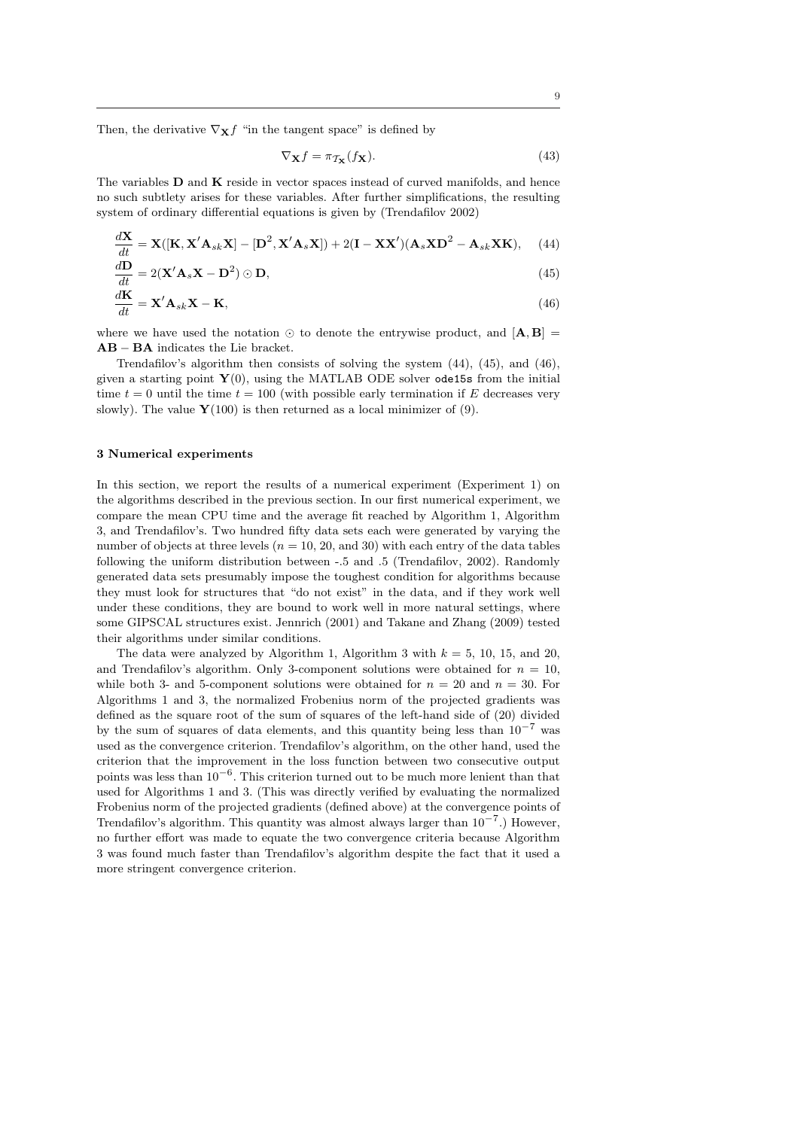Then, the derivative  $\nabla_{\mathbf{X}} f$  "in the tangent space" is defined by

$$
\nabla_{\mathbf{X}} f = \pi_{\mathcal{T}_{\mathbf{X}}}(f_{\mathbf{X}}). \tag{43}
$$

The variables  $D$  and  $K$  reside in vector spaces instead of curved manifolds, and hence no such subtlety arises for these variables. After further simplifications, the resulting system of ordinary differential equations is given by (Trendafilov 2002)

$$
\frac{d\mathbf{X}}{dt} = \mathbf{X}([\mathbf{K}, \mathbf{X}'\mathbf{A}_{sk}\mathbf{X}] - [\mathbf{D}^2, \mathbf{X}'\mathbf{A}_s\mathbf{X}]) + 2(\mathbf{I} - \mathbf{X}\mathbf{X}')(\mathbf{A}_s\mathbf{X}\mathbf{D}^2 - \mathbf{A}_{sk}\mathbf{X}\mathbf{K}), \quad (44)
$$

$$
\frac{d\mathbf{D}}{dt} = 2(\mathbf{X}'\mathbf{A}_s\mathbf{X} - \mathbf{D}^2) \odot \mathbf{D},\tag{45}
$$

$$
\frac{d\mathbf{K}}{dt} = \mathbf{X}' \mathbf{A}_{sk} \mathbf{X} - \mathbf{K},\tag{46}
$$

where we have used the notation  $\odot$  to denote the entrywise product, and  $[\mathbf{A}, \mathbf{B}] =$ AB − BA indicates the Lie bracket.

Trendafilov's algorithm then consists of solving the system (44), (45), and (46), given a starting point  $\mathbf{Y}(0)$ , using the MATLAB ODE solver ode15s from the initial time  $t = 0$  until the time  $t = 100$  (with possible early termination if E decreases very slowly). The value  $\mathbf{Y}(100)$  is then returned as a local minimizer of (9).

## 3 Numerical experiments

 $\overline{a}$ 

In this section, we report the results of a numerical experiment (Experiment 1) on the algorithms described in the previous section. In our first numerical experiment, we compare the mean CPU time and the average fit reached by Algorithm 1, Algorithm 3, and Trendafilov's. Two hundred fifty data sets each were generated by varying the number of objects at three levels  $(n = 10, 20, \text{ and } 30)$  with each entry of the data tables following the uniform distribution between -.5 and .5 (Trendafilov, 2002). Randomly generated data sets presumably impose the toughest condition for algorithms because they must look for structures that "do not exist" in the data, and if they work well under these conditions, they are bound to work well in more natural settings, where some GIPSCAL structures exist. Jennrich (2001) and Takane and Zhang (2009) tested their algorithms under similar conditions.

The data were analyzed by Algorithm 1, Algorithm 3 with  $k = 5, 10, 15,$  and 20, and Trendafilov's algorithm. Only 3-component solutions were obtained for  $n = 10$ , while both 3- and 5-component solutions were obtained for  $n = 20$  and  $n = 30$ . For Algorithms 1 and 3, the normalized Frobenius norm of the projected gradients was defined as the square root of the sum of squares of the left-hand side of (20) divided by the sum of squares of data elements, and this quantity being less than  $10^{-7}$  was used as the convergence criterion. Trendafilov's algorithm, on the other hand, used the criterion that the improvement in the loss function between two consecutive output points was less than 10−<sup>6</sup> . This criterion turned out to be much more lenient than that used for Algorithms 1 and 3. (This was directly verified by evaluating the normalized Frobenius norm of the projected gradients (defined above) at the convergence points of Trendafilov's algorithm. This quantity was almost always larger than  $10^{-7}$ .) However, no further effort was made to equate the two convergence criteria because Algorithm 3 was found much faster than Trendafilov's algorithm despite the fact that it used a more stringent convergence criterion.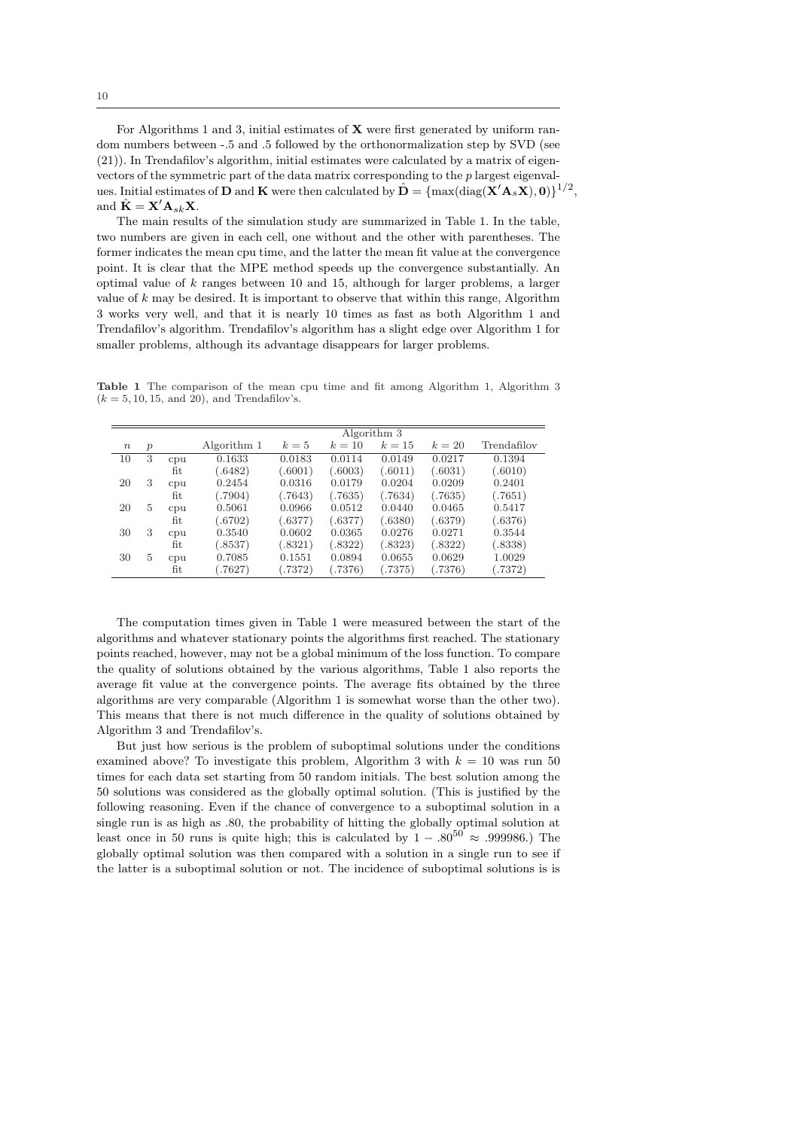For Algorithms 1 and 3, initial estimates of  $X$  were first generated by uniform random numbers between -.5 and .5 followed by the orthonormalization step by SVD (see (21)). In Trendafilov's algorithm, initial estimates were calculated by a matrix of eigenvectors of the symmetric part of the data matrix corresponding to the  $p$  largest eigenvalues. Initial estimates of **D** and **K** were then calculated by  $\hat{\mathbf{D}} = \{\max(\text{diag}(\mathbf{X}'\mathbf{A}_s\mathbf{X}), \mathbf{0})\}^{1/2},$ and  $\hat{\mathbf{K}} = \mathbf{X}' \mathbf{A}_{sk} \mathbf{X}$ .

The main results of the simulation study are summarized in Table 1. In the table, two numbers are given in each cell, one without and the other with parentheses. The former indicates the mean cpu time, and the latter the mean fit value at the convergence point. It is clear that the MPE method speeds up the convergence substantially. An optimal value of k ranges between 10 and 15, although for larger problems, a larger value of  $k$  may be desired. It is important to observe that within this range, Algorithm 3 works very well, and that it is nearly 10 times as fast as both Algorithm 1 and Trendafilov's algorithm. Trendafilov's algorithm has a slight edge over Algorithm 1 for smaller problems, although its advantage disappears for larger problems.

Table 1 The comparison of the mean cpu time and fit among Algorithm 1, Algorithm 3  $(k = 5, 10, 15, \text{ and } 20)$ , and Trendafilov's.

|                  |               |     | Algorithm 3 |         |         |         |         |             |  |
|------------------|---------------|-----|-------------|---------|---------|---------|---------|-------------|--|
| $\boldsymbol{n}$ | $\mathcal{p}$ |     | Algorithm 1 | $k=5$   | $k=10$  | $k=15$  | $k=20$  | Trendafilov |  |
| 10               | 3             | cpu | 0.1633      | 0.0183  | 0.0114  | 0.0149  | 0.0217  | 0.1394      |  |
|                  |               | fit | (.6482)     | (.6001) | (.6003) | (.6011) | (.6031) | (.6010)     |  |
| 20               | 3             | cpu | 0.2454      | 0.0316  | 0.0179  | 0.0204  | 0.0209  | 0.2401      |  |
|                  |               | fit | (.7904)     | (.7643) | (.7635) | (.7634) | (.7635) | (.7651)     |  |
| 20               | 5             | cpu | 0.5061      | 0.0966  | 0.0512  | 0.0440  | 0.0465  | 0.5417      |  |
|                  |               | fit | (.6702)     | (.6377) | (.6377) | (.6380) | (.6379) | (.6376)     |  |
| 30               | 3             | cpu | 0.3540      | 0.0602  | 0.0365  | 0.0276  | 0.0271  | 0.3544      |  |
|                  |               | fit | (.8537)     | (.8321) | (.8322) | (.8323) | (.8322) | (.8338)     |  |
| 30               | 5             | cpu | 0.7085      | 0.1551  | 0.0894  | 0.0655  | 0.0629  | 1.0029      |  |
|                  |               | fit | .7627)      | .7372)  | (.7376) | (.7375) | (.7376) | (.7372)     |  |

The computation times given in Table 1 were measured between the start of the algorithms and whatever stationary points the algorithms first reached. The stationary points reached, however, may not be a global minimum of the loss function. To compare the quality of solutions obtained by the various algorithms, Table 1 also reports the average fit value at the convergence points. The average fits obtained by the three algorithms are very comparable (Algorithm 1 is somewhat worse than the other two). This means that there is not much difference in the quality of solutions obtained by Algorithm 3 and Trendafilov's.

But just how serious is the problem of suboptimal solutions under the conditions examined above? To investigate this problem, Algorithm 3 with  $k = 10$  was run 50 times for each data set starting from 50 random initials. The best solution among the 50 solutions was considered as the globally optimal solution. (This is justified by the following reasoning. Even if the chance of convergence to a suboptimal solution in a single run is as high as .80, the probability of hitting the globally optimal solution at least once in 50 runs is quite high; this is calculated by  $1 - .80^{50} \approx .999986$ .) The globally optimal solution was then compared with a solution in a single run to see if the latter is a suboptimal solution or not. The incidence of suboptimal solutions is is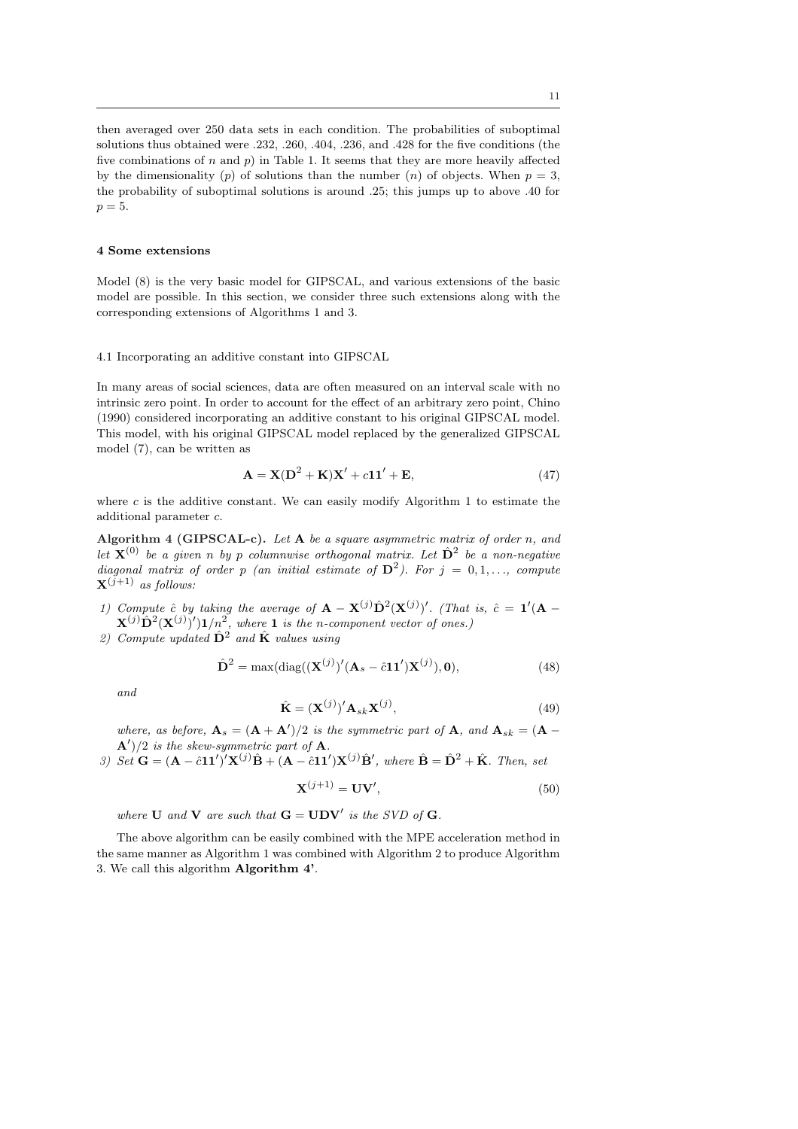then averaged over 250 data sets in each condition. The probabilities of suboptimal solutions thus obtained were .232, .260, .404, .236, and .428 for the five conditions (the five combinations of n and p) in Table 1. It seems that they are more heavily affected by the dimensionality (p) of solutions than the number (n) of objects. When  $p = 3$ , the probability of suboptimal solutions is around .25; this jumps up to above .40 for  $p=5$ .

## 4 Some extensions

Model (8) is the very basic model for GIPSCAL, and various extensions of the basic model are possible. In this section, we consider three such extensions along with the corresponding extensions of Algorithms 1 and 3.

## 4.1 Incorporating an additive constant into GIPSCAL

In many areas of social sciences, data are often measured on an interval scale with no intrinsic zero point. In order to account for the effect of an arbitrary zero point, Chino (1990) considered incorporating an additive constant to his original GIPSCAL model. This model, with his original GIPSCAL model replaced by the generalized GIPSCAL model (7), can be written as

$$
\mathbf{A} = \mathbf{X}(\mathbf{D}^2 + \mathbf{K})\mathbf{X}' + c\mathbf{1}\mathbf{1}' + \mathbf{E},\tag{47}
$$

where c is the additive constant. We can easily modify Algorithm 1 to estimate the additional parameter c.

Algorithm 4 (GIPSCAL-c). Let  $A$  be a square asymmetric matrix of order n, and let  ${\bf X}^{(0)}$  be a given n by p columnwise orthogonal matrix. Let  $\hat{\bf D}^2$  be a non-negative diagonal matrix of order p (an initial estimate of  $\mathbf{D}^2$ ). For  $j = 0, 1, \ldots,$  compute  ${\bf X}^{(\check{j}+1)}$  as follows:

1) Compute  $\hat{c}$  by taking the average of  $\mathbf{A} - \mathbf{X}^{(j)} \hat{\mathbf{D}}^2 (\mathbf{X}^{(j)})'$ . (That is,  $\hat{c} = \mathbf{1}'(\mathbf{A} - \mathbf{1}')$  $\mathbf{X}^{(j)}\hat{\mathbf{D}}^2(\mathbf{X}^{(j)})'$  $1/n^2$ , where 1 is the n-component vector of ones.)

2) Compute updated  $\hat{D}^2$  and  $\hat{K}$  values using

$$
\hat{\mathbf{D}}^2 = \max(\text{diag}((\mathbf{X}^{(j)})'(\mathbf{A}_s - \hat{c}\mathbf{1}\mathbf{1}')\mathbf{X}^{(j)}), \mathbf{0}),\tag{48}
$$

and

$$
\hat{\mathbf{K}} = (\mathbf{X}^{(j)})' \mathbf{A}_{sk} \mathbf{X}^{(j)},\tag{49}
$$

where, as before,  $\mathbf{A}_s = (\mathbf{A} + \mathbf{A}')/2$  is the symmetric part of  $\mathbf{A}$ , and  $\mathbf{A}_{sk} = (\mathbf{A} - \mathbf{A}')/2$  $\mathbf{A}'$ )/2 is the skew-symmetric part of  $\mathbf{A}$ .

3) Set  $\mathbf{G} = (\mathbf{A} - \hat{c}\mathbf{1}\mathbf{1}')'\mathbf{X}^{(j)}\hat{\mathbf{B}} + (\mathbf{A} - \hat{c}\mathbf{1}\mathbf{1}')\mathbf{X}^{(j)}\hat{\mathbf{B}}'$ , where  $\hat{\mathbf{B}} = \hat{\mathbf{D}}^2 + \hat{\mathbf{K}}$ . Then, set

$$
\mathbf{X}^{(j+1)} = \mathbf{U}\mathbf{V}',\tag{50}
$$

where **U** and **V** are such that  $G = UDV'$  is the SVD of  $G$ .

The above algorithm can be easily combined with the MPE acceleration method in the same manner as Algorithm 1 was combined with Algorithm 2 to produce Algorithm 3. We call this algorithm Algorithm 4'.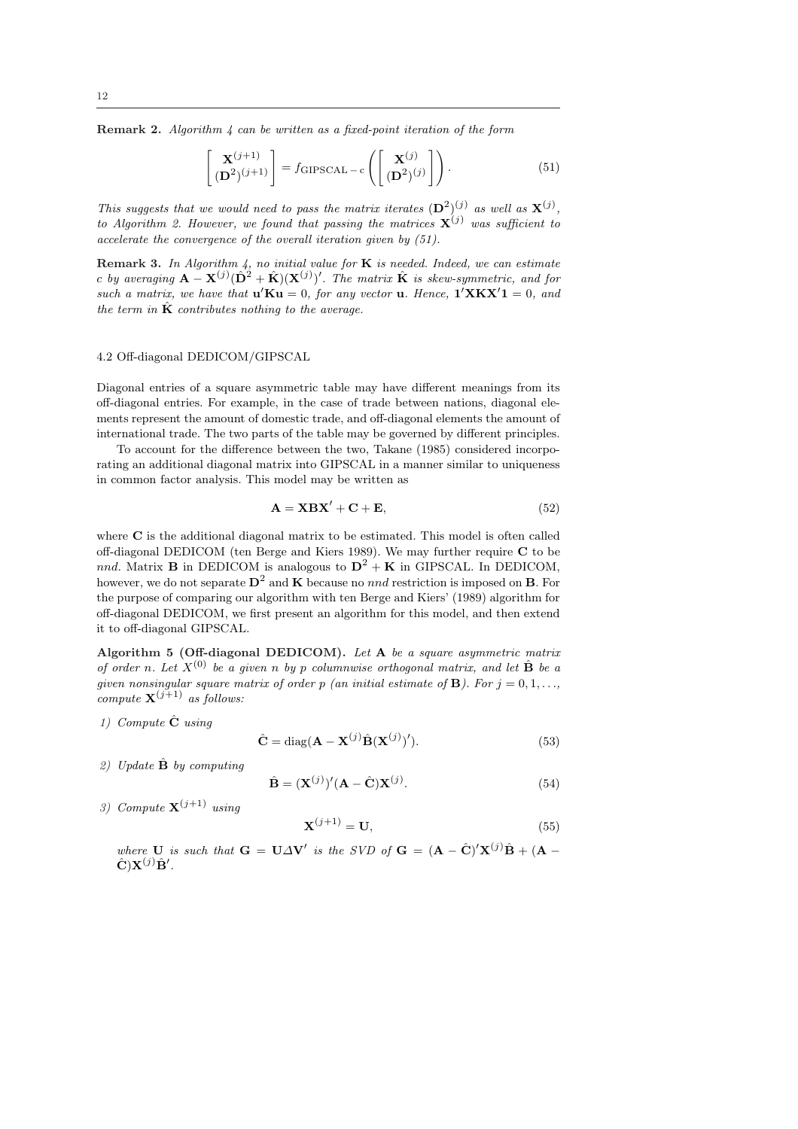**Remark 2.** Algorithm  $\lambda$  can be written as a fixed-point iteration of the form

$$
\begin{bmatrix} \mathbf{X}^{(j+1)} \\ (\mathbf{D}^2)^{(j+1)} \end{bmatrix} = f_{\text{GIPSCAL}} - c \left( \begin{bmatrix} \mathbf{X}^{(j)} \\ (\mathbf{D}^2)^{(j)} \end{bmatrix} \right).
$$
 (51)

This suggests that we would need to pass the matrix iterates  $(D^2)^{(j)}$  as well as  $X^{(j)}$ , to Algorithm 2. However, we found that passing the matrices  $X^{(j)}$  was sufficient to accelerate the convergence of the overall iteration given by (51).

**Remark 3.** In Algorithm 4, no initial value for **K** is needed. Indeed, we can estimate c by averaging  $\mathbf{A} - \mathbf{X}^{(j)}(\hat{\mathbf{D}}^2 + \hat{\mathbf{K}})(\mathbf{X}^{(j)})'$ . The matrix  $\hat{\mathbf{K}}$  is skew-symmetric, and for such a matrix, we have that  $\mathbf{u}'\mathbf{Ku} = 0$ , for any vector **u**. Hence,  $\mathbf{1}'\mathbf{X}\mathbf{K}\mathbf{X}'\mathbf{1} = 0$ , and the term in  $\hat{\mathbf{K}}$  contributes nothing to the average.

## 4.2 Off-diagonal DEDICOM/GIPSCAL

Diagonal entries of a square asymmetric table may have different meanings from its off-diagonal entries. For example, in the case of trade between nations, diagonal elements represent the amount of domestic trade, and off-diagonal elements the amount of international trade. The two parts of the table may be governed by different principles.

To account for the difference between the two, Takane (1985) considered incorporating an additional diagonal matrix into GIPSCAL in a manner similar to uniqueness in common factor analysis. This model may be written as

$$
\mathbf{A} = \mathbf{X}\mathbf{B}\mathbf{X}' + \mathbf{C} + \mathbf{E},\tag{52}
$$

where C is the additional diagonal matrix to be estimated. This model is often called off-diagonal DEDICOM (ten Berge and Kiers 1989). We may further require C to be nnd. Matrix **B** in DEDICOM is analogous to  $D^2 + K$  in GIPSCAL. In DEDICOM, however, we do not separate  $\mathbf{D}^2$  and **K** because no *nnd* restriction is imposed on **B**. For the purpose of comparing our algorithm with ten Berge and Kiers' (1989) algorithm for off-diagonal DEDICOM, we first present an algorithm for this model, and then extend it to off-diagonal GIPSCAL.

Algorithm 5 (Off-diagonal DEDICOM). Let  $A$  be a square asymmetric matrix of order n. Let  $X^{(0)}$  be a given n by p columnwise orthogonal matrix, and let  $\hat{B}$  be a given nonsingular square matrix of order p (an initial estimate of **B**). For  $j = 0, 1, \ldots$ , compute  $\mathbf{X}^{(j+1)}$  as follows:

1) Compute  $\hat{\mathbf{C}}$  using

$$
\hat{\mathbf{C}} = \text{diag}(\mathbf{A} - \mathbf{X}^{(j)} \hat{\mathbf{B}} (\mathbf{X}^{(j)})'). \tag{53}
$$

2) Update  $\hat{\mathbf{B}}$  by computing

$$
\hat{\mathbf{B}} = (\mathbf{X}^{(j)})' (\mathbf{A} - \hat{\mathbf{C}}) \mathbf{X}^{(j)}.
$$
\n(54)

3) Compute  $\mathbf{X}^{(j+1)}$  using

$$
\mathbf{X}^{(j+1)} = \mathbf{U},\tag{55}
$$

where U is such that  $G = U \Delta V'$  is the SVD of  $G = (A - \hat{C})'X^{(j)}\hat{B} + (A \hat{\mathbf{C}} \mathbf{X}^{(j)} \hat{\mathbf{B}}'.$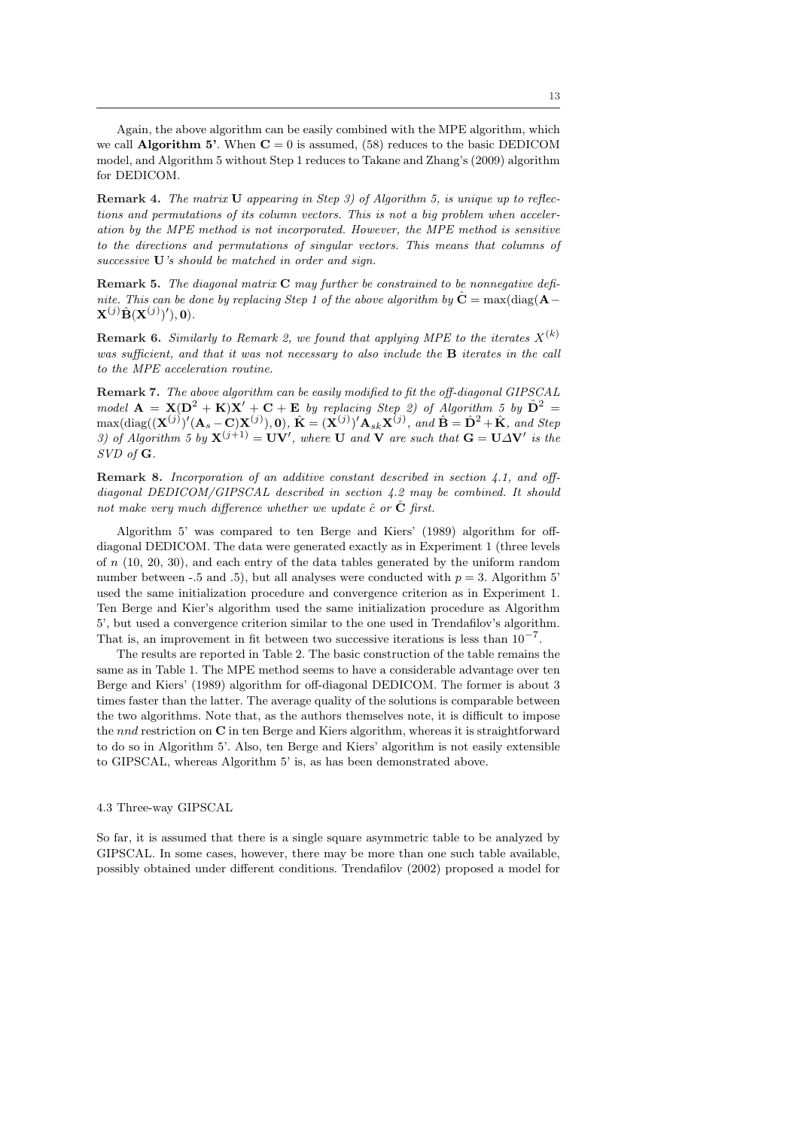Again, the above algorithm can be easily combined with the MPE algorithm, which we call **Algorithm 5'.** When  $C = 0$  is assumed, (58) reduces to the basic DEDICOM model, and Algorithm 5 without Step 1 reduces to Takane and Zhang's (2009) algorithm for DEDICOM.

**Remark 4.** The matrix  $U$  appearing in Step 3) of Algorithm 5, is unique up to reflections and permutations of its column vectors. This is not a big problem when acceleration by the MPE method is not incorporated. However, the MPE method is sensitive to the directions and permutations of singular vectors. This means that columns of successive **U**'s should be matched in order and sign.

Remark 5. The diagonal matrix C may further be constrained to be nonnegative definite. This can be done by replacing Step 1 of the above algorithm by  $\hat{C} = \max(\text{diag}(A \mathbf{X}^{(j)}\hat{\mathbf{B}}(\mathbf{X}^{(j)})^{\prime}),\mathbf{0}).$ 

**Remark 6.** Similarly to Remark 2, we found that applying MPE to the iterates  $X^{(k)}$ was sufficient, and that it was not necessary to also include the **B** iterates in the call to the MPE acceleration routine.

Remark 7. The above algorithm can be easily modified to fit the off-diagonal GIPSCAL model  $A = X(D^2 + K)X' + C + E$  by replacing Step 2) of Algorithm 5 by  $\hat{D}^2 =$  $\max(\mathrm{diag}((\mathbf{X}^{(j)})'(\mathbf{A}_s-\mathbf{C})\mathbf{X}^{(j)}),\mathbf{0}), \, \hat{\mathbf{K}}=(\mathbf{X}^{(j)})'\mathbf{A}_{sk}\mathbf{X}^{(j)}, \text{ and } \hat{\mathbf{B}}=\hat{\mathbf{D}}^2+\hat{\mathbf{K}}, \text{ and Step}$ 3) of Algorithm 5 by  $X^{(j+1)} = UV'$ , where U and V are such that  $G = U \Delta V'$  is the SVD of G.

Remark 8. Incorporation of an additive constant described in section 4.1, and offdiagonal DEDICOM/GIPSCAL described in section 4.2 may be combined. It should not make very much difference whether we update  $\hat{c}$  or  $\hat{C}$  first.

Algorithm 5' was compared to ten Berge and Kiers' (1989) algorithm for offdiagonal DEDICOM. The data were generated exactly as in Experiment 1 (three levels of n (10, 20, 30), and each entry of the data tables generated by the uniform random number between -.5 and .5), but all analyses were conducted with  $p = 3$ . Algorithm 5' used the same initialization procedure and convergence criterion as in Experiment 1. Ten Berge and Kier's algorithm used the same initialization procedure as Algorithm 5', but used a convergence criterion similar to the one used in Trendafilov's algorithm. That is, an improvement in fit between two successive iterations is less than  $10^{-7}$ .

The results are reported in Table 2. The basic construction of the table remains the same as in Table 1. The MPE method seems to have a considerable advantage over ten Berge and Kiers' (1989) algorithm for off-diagonal DEDICOM. The former is about 3 times faster than the latter. The average quality of the solutions is comparable between the two algorithms. Note that, as the authors themselves note, it is difficult to impose the nnd restriction on C in ten Berge and Kiers algorithm, whereas it is straightforward to do so in Algorithm 5'. Also, ten Berge and Kiers' algorithm is not easily extensible to GIPSCAL, whereas Algorithm 5' is, as has been demonstrated above.

#### 4.3 Three-way GIPSCAL

So far, it is assumed that there is a single square asymmetric table to be analyzed by GIPSCAL. In some cases, however, there may be more than one such table available, possibly obtained under different conditions. Trendafilov (2002) proposed a model for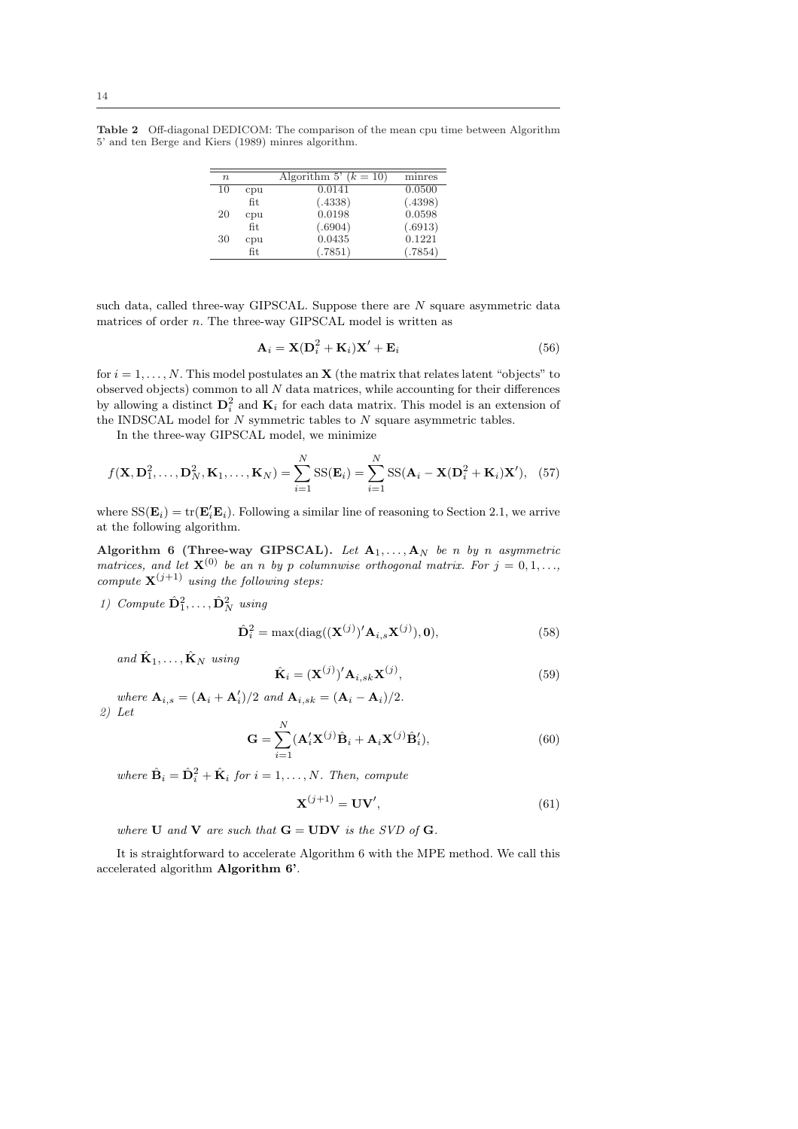Table 2 Off-diagonal DEDICOM: The comparison of the mean cpu time between Algorithm 5' and ten Berge and Kiers (1989) minres algorithm.

| $\, n$ |     | Algorithm 5' $(k = 10)$ | minres  |
|--------|-----|-------------------------|---------|
| 10     | cpu | 0.0141                  | 0.0500  |
|        | fit | (.4338)                 | (.4398) |
| 20     | cpu | 0.0198                  | 0.0598  |
|        | fit | (.6904)                 | (.6913) |
| 30     | cpu | 0.0435                  | 0.1221  |
|        | fit | (.7851)                 | (.7854) |

such data, called three-way GIPSCAL. Suppose there are N square asymmetric data matrices of order n. The three-way GIPSCAL model is written as

$$
\mathbf{A}_{i} = \mathbf{X}(\mathbf{D}_{i}^{2} + \mathbf{K}_{i})\mathbf{X}' + \mathbf{E}_{i}
$$
\n(56)

for  $i = 1, \ldots, N$ . This model postulates an **X** (the matrix that relates latent "objects" to observed objects) common to all  $N$  data matrices, while accounting for their differences by allowing a distinct  $\mathbf{D}_i^2$  and  $\mathbf{K}_i$  for each data matrix. This model is an extension of the INDSCAL model for  $N$  symmetric tables to  $N$  square asymmetric tables.

In the three-way GIPSCAL model, we minimize

$$
f(\mathbf{X}, \mathbf{D}_1^2, \dots, \mathbf{D}_N^2, \mathbf{K}_1, \dots, \mathbf{K}_N) = \sum_{i=1}^N \text{SS}(\mathbf{E}_i) = \sum_{i=1}^N \text{SS}(\mathbf{A}_i - \mathbf{X}(\mathbf{D}_i^2 + \mathbf{K}_i)\mathbf{X}'), (57)
$$

where  $SS(\mathbf{E}_i) = \text{tr}(\mathbf{E}_i' \mathbf{E}_i)$ . Following a similar line of reasoning to Section 2.1, we arrive at the following algorithm.

Algorithm 6 (Three-way GIPSCAL). Let  $A_1, \ldots, A_N$  be n by n asymmetric matrices, and let  $\mathbf{X}^{(0)}$  be an n by p columnwise orthogonal matrix. For  $j = 0, 1, \ldots,$ compute  $\mathbf{X}^{(j+1)}$  using the following steps:

1) Compute  $\hat{\mathbf{D}}_1^2, \dots, \hat{\mathbf{D}}_N^2$  using

$$
\hat{\mathbf{D}}_i^2 = \max(\text{diag}((\mathbf{X}^{(j)})'\mathbf{A}_{i,s}\mathbf{X}^{(j)}), \mathbf{0}),
$$
\n(58)

and  $\hat{\mathbf{K}}_1, \ldots, \hat{\mathbf{K}}_N$  using

$$
\hat{\mathbf{K}}_i = (\mathbf{X}^{(j)})' \mathbf{A}_{i,sk} \mathbf{X}^{(j)},\tag{59}
$$

where  $\mathbf{A}_{i,s} = (\mathbf{A}_i + \mathbf{A}'_i)/2$  and  $\mathbf{A}_{i,sk} = (\mathbf{A}_i - \mathbf{A}_i)/2$ . 2) Let

$$
\mathbf{G} = \sum_{i=1}^{N} (\mathbf{A}_{i}^{\prime} \mathbf{X}^{(j)} \hat{\mathbf{B}}_{i} + \mathbf{A}_{i} \mathbf{X}^{(j)} \hat{\mathbf{B}}_{i}^{\prime}),
$$
(60)

where  $\hat{\mathbf{B}}_i = \hat{\mathbf{D}}_i^2 + \hat{\mathbf{K}}_i$  for  $i = 1, ..., N$ . Then, compute

$$
\mathbf{X}^{(j+1)} = \mathbf{U}\mathbf{V}',\tag{61}
$$

where **U** and **V** are such that  $G = UDV$  is the SVD of G.

It is straightforward to accelerate Algorithm 6 with the MPE method. We call this accelerated algorithm Algorithm 6'.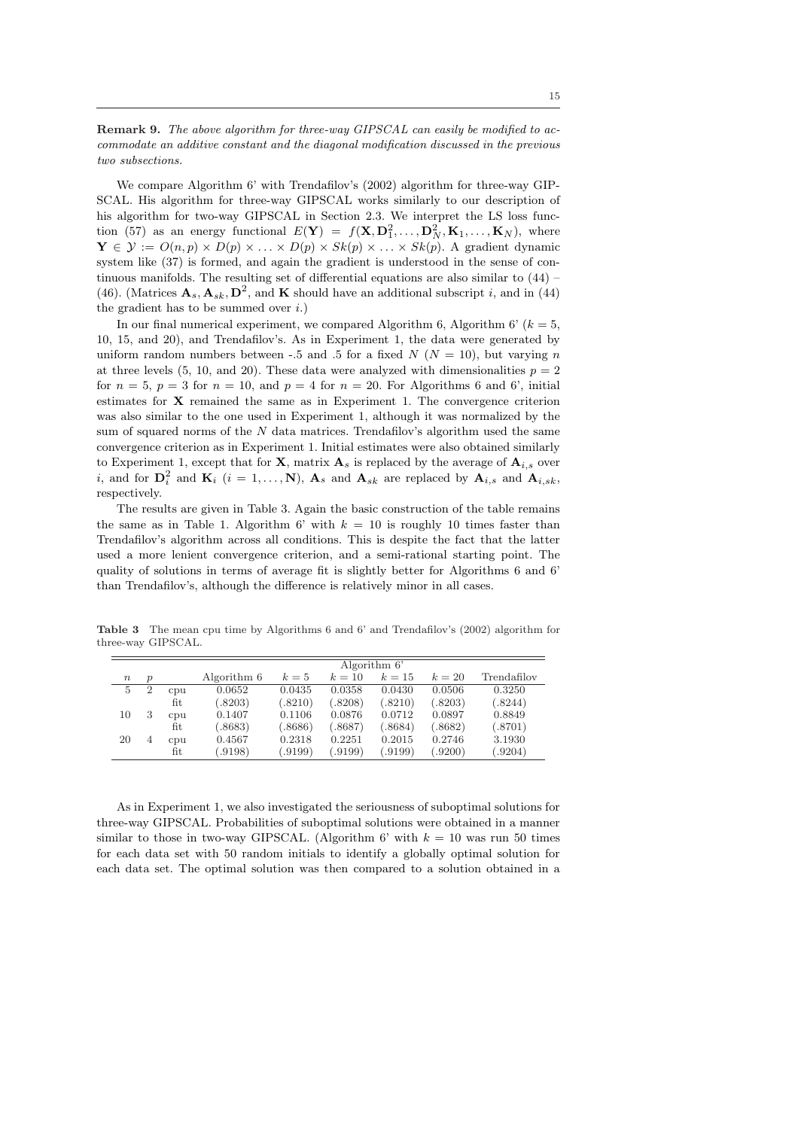Remark 9. The above algorithm for three-way GIPSCAL can easily be modified to accommodate an additive constant and the diagonal modification discussed in the previous two subsections.

We compare Algorithm 6' with Trendafilov's (2002) algorithm for three-way GIP-SCAL. His algorithm for three-way GIPSCAL works similarly to our description of his algorithm for two-way GIPSCAL in Section 2.3. We interpret the LS loss function (57) as an energy functional  $E(Y) = f(X, D_1^2, \ldots, D_N^2, K_1, \ldots, K_N)$ , where  $\mathbf{Y} \in \mathcal{Y} := O(n, p) \times D(p) \times \ldots \times D(p) \times Sk(p) \times \ldots \times Sk(p)$ . A gradient dynamic system like (37) is formed, and again the gradient is understood in the sense of continuous manifolds. The resulting set of differential equations are also similar to (44) – (46). (Matrices  $\mathbf{A}_s, \mathbf{A}_{sk}, \mathbf{D}^2$ , and **K** should have an additional subscript i, and in (44) the gradient has to be summed over  $i$ .)

In our final numerical experiment, we compared Algorithm 6, Algorithm 6' ( $k = 5$ , 10, 15, and 20), and Trendafilov's. As in Experiment 1, the data were generated by uniform random numbers between -.5 and .5 for a fixed  $N(N = 10)$ , but varying n at three levels (5, 10, and 20). These data were analyzed with dimensionalities  $p = 2$ for  $n = 5$ ,  $p = 3$  for  $n = 10$ , and  $p = 4$  for  $n = 20$ . For Algorithms 6 and 6', initial estimates for X remained the same as in Experiment 1. The convergence criterion was also similar to the one used in Experiment 1, although it was normalized by the sum of squared norms of the  $N$  data matrices. Trendafilov's algorithm used the same convergence criterion as in Experiment 1. Initial estimates were also obtained similarly to Experiment 1, except that for **X**, matrix  $A_s$  is replaced by the average of  $A_{i,s}$  over i, and for  $\mathbf{D}_i^2$  and  $\mathbf{K}_i$  (i = 1,..., N),  $\mathbf{A}_s$  and  $\mathbf{A}_{sk}$  are replaced by  $\mathbf{A}_{i,s}$  and  $\mathbf{A}_{i,sk}$ , respectively.

The results are given in Table 3. Again the basic construction of the table remains the same as in Table 1. Algorithm 6' with  $k = 10$  is roughly 10 times faster than Trendafilov's algorithm across all conditions. This is despite the fact that the latter used a more lenient convergence criterion, and a semi-rational starting point. The quality of solutions in terms of average fit is slightly better for Algorithms 6 and 6' than Trendafilov's, although the difference is relatively minor in all cases.

Table 3 The mean cpu time by Algorithms 6 and 6' and Trendafilov's (2002) algorithm for three-way GIPSCAL.

|        |               |     | Algorithm $6'$ |         |         |         |         |             |  |
|--------|---------------|-----|----------------|---------|---------|---------|---------|-------------|--|
| $\, n$ | $\mathcal{D}$ |     | Algorithm 6    | $k=5$   | $k=10$  | $k=15$  | $k=20$  | Trendafilov |  |
| 5.     | 2             | cpu | 0.0652         | 0.0435  | 0.0358  | 0.0430  | 0.0506  | 0.3250      |  |
|        |               | fit | (.8203)        | (.8210) | (.8208) | (.8210) | (.8203) | (.8244)     |  |
| 10     | 3             | cpu | 0.1407         | 0.1106  | 0.0876  | 0.0712  | 0.0897  | 0.8849      |  |
|        |               | fit | (.8683)        | (.8686) | (.8687) | (.8684) | (.8682) | (.8701)     |  |
| 20     | 4             | cpu | 0.4567         | 0.2318  | 0.2251  | 0.2015  | 0.2746  | 3.1930      |  |
|        |               | fit | .9198)         | .9199)  | (.9199) | (.9199) | (.9200) | (.9204)     |  |

As in Experiment 1, we also investigated the seriousness of suboptimal solutions for three-way GIPSCAL. Probabilities of suboptimal solutions were obtained in a manner similar to those in two-way GIPSCAL. (Algorithm 6' with  $k = 10$  was run 50 times for each data set with 50 random initials to identify a globally optimal solution for each data set. The optimal solution was then compared to a solution obtained in a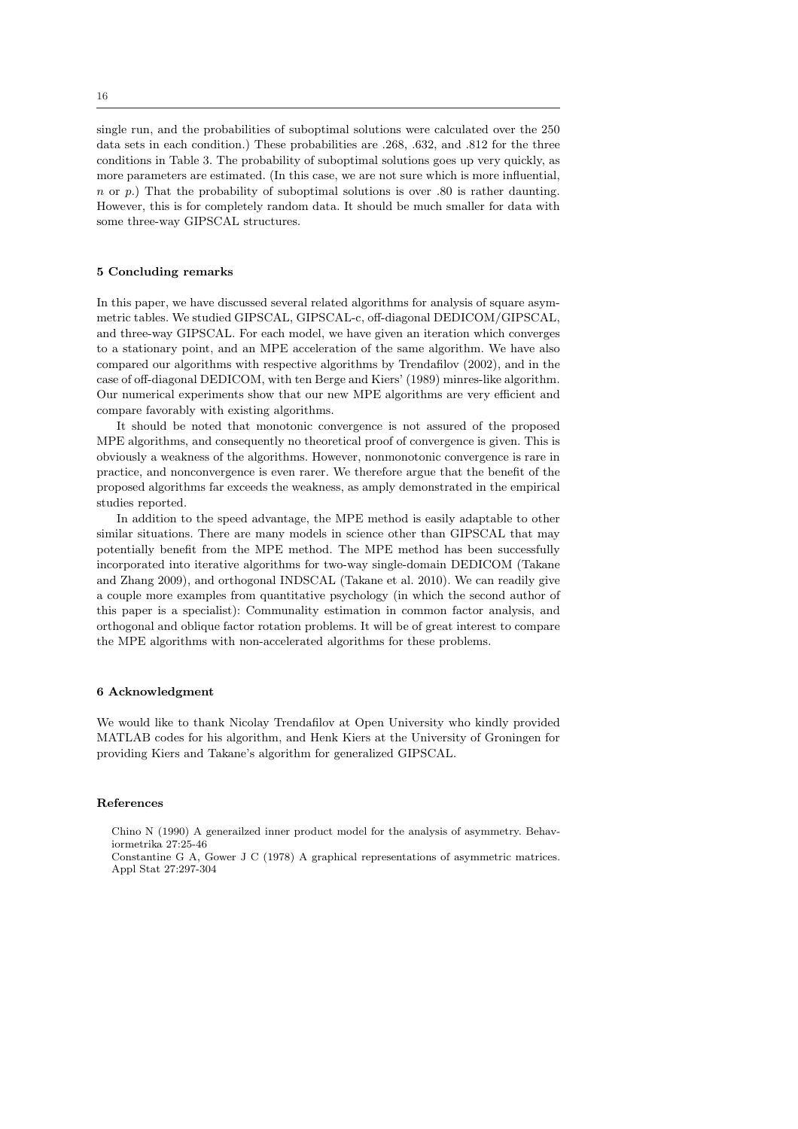single run, and the probabilities of suboptimal solutions were calculated over the 250 data sets in each condition.) These probabilities are .268, .632, and .812 for the three conditions in Table 3. The probability of suboptimal solutions goes up very quickly, as more parameters are estimated. (In this case, we are not sure which is more influential,  $n \text{ or } p$ .) That the probability of suboptimal solutions is over .80 is rather daunting. However, this is for completely random data. It should be much smaller for data with some three-way GIPSCAL structures.

# 5 Concluding remarks

In this paper, we have discussed several related algorithms for analysis of square asymmetric tables. We studied GIPSCAL, GIPSCAL-c, off-diagonal DEDICOM/GIPSCAL, and three-way GIPSCAL. For each model, we have given an iteration which converges to a stationary point, and an MPE acceleration of the same algorithm. We have also compared our algorithms with respective algorithms by Trendafilov (2002), and in the case of off-diagonal DEDICOM, with ten Berge and Kiers' (1989) minres-like algorithm. Our numerical experiments show that our new MPE algorithms are very efficient and compare favorably with existing algorithms.

It should be noted that monotonic convergence is not assured of the proposed MPE algorithms, and consequently no theoretical proof of convergence is given. This is obviously a weakness of the algorithms. However, nonmonotonic convergence is rare in practice, and nonconvergence is even rarer. We therefore argue that the benefit of the proposed algorithms far exceeds the weakness, as amply demonstrated in the empirical studies reported.

In addition to the speed advantage, the MPE method is easily adaptable to other similar situations. There are many models in science other than GIPSCAL that may potentially benefit from the MPE method. The MPE method has been successfully incorporated into iterative algorithms for two-way single-domain DEDICOM (Takane and Zhang 2009), and orthogonal INDSCAL (Takane et al. 2010). We can readily give a couple more examples from quantitative psychology (in which the second author of this paper is a specialist): Communality estimation in common factor analysis, and orthogonal and oblique factor rotation problems. It will be of great interest to compare the MPE algorithms with non-accelerated algorithms for these problems.

## 6 Acknowledgment

We would like to thank Nicolay Trendafilov at Open University who kindly provided MATLAB codes for his algorithm, and Henk Kiers at the University of Groningen for providing Kiers and Takane's algorithm for generalized GIPSCAL.

#### References

Chino N (1990) A generailzed inner product model for the analysis of asymmetry. Behaviormetrika 27:25-46

Constantine G A, Gower J C (1978) A graphical representations of asymmetric matrices. Appl Stat 27:297-304